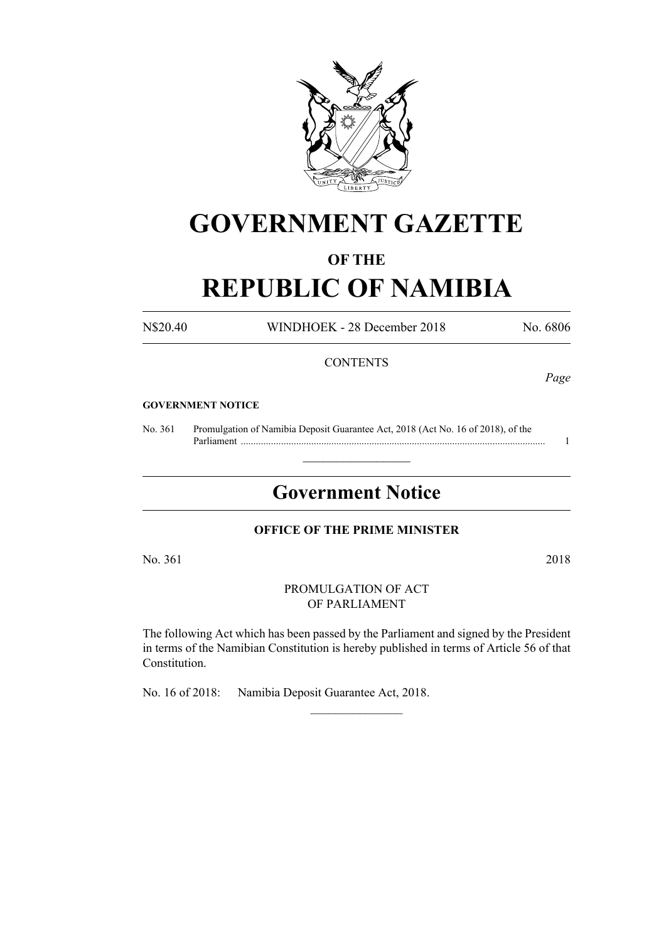

# **GOVERNMENT GAZETTE**

## **OF THE**

# **REPUBLIC OF NAMIBIA**

N\$20.40 WINDHOEK - 28 December 2018 No. 6806

## **CONTENTS**

*Page*

#### **GOVERNMENT NOTICE**

No. 361 Promulgation of Namibia Deposit Guarantee Act, 2018 (Act No. 16 of 2018), of the Parliament ......................................................................................................................... 1

## **Government Notice**

 $\frac{1}{2}$  ,  $\frac{1}{2}$  ,  $\frac{1}{2}$  ,  $\frac{1}{2}$  ,  $\frac{1}{2}$  ,  $\frac{1}{2}$  ,  $\frac{1}{2}$ 

## **OFFICE OF THE PRIME MINISTER**

No. 361 2018

PROMULGATION OF ACT OF PARLIAMENT

The following Act which has been passed by the Parliament and signed by the President in terms of the Namibian Constitution is hereby published in terms of Article 56 of that Constitution.

 $\frac{1}{2}$ 

No. 16 of 2018: Namibia Deposit Guarantee Act, 2018.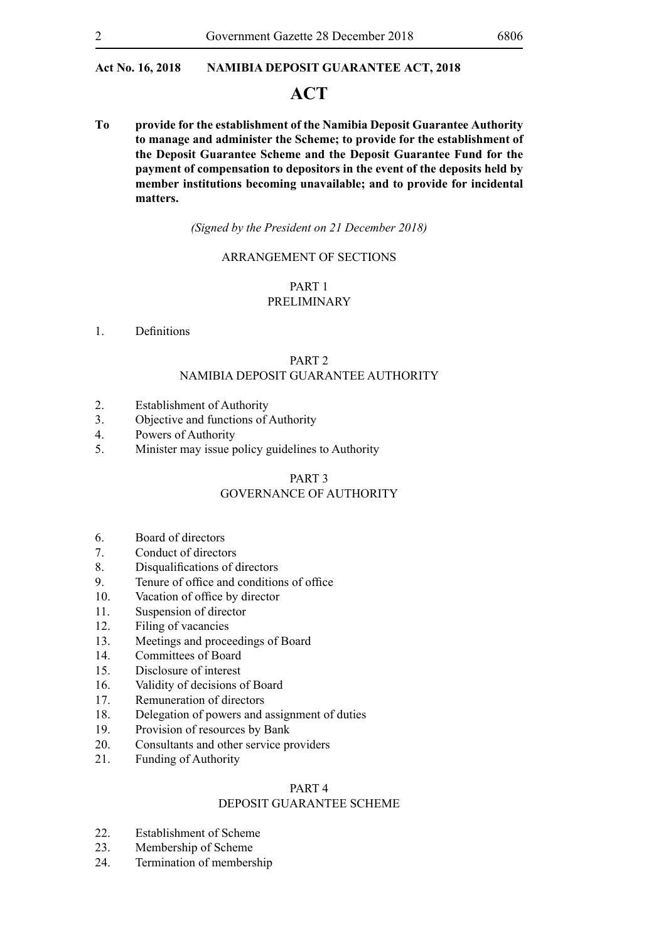## **ACT**

**To provide for the establishment of the Namibia Deposit Guarantee Authority to manage and administer the Scheme; to provide for the establishment of the Deposit Guarantee Scheme and the Deposit Guarantee Fund for the payment of compensation to depositors in the event of the deposits held by member institutions becoming unavailable; and to provide for incidental matters.**

*(Signed by the President on 21 December 2018)*

#### ARRANGEMENT OF SECTIONS

## PART 1 PRELIMINARY

1. Definitions

## PART 2 NAMIBIA DEPOSIT GUARANTEE AUTHORITY

- 2. Establishment of Authority
- 3. Objective and functions of Authority
- 4. Powers of Authority
- 5. Minister may issue policy guidelines to Authority

#### PART 3

## GOVERNANCE OF AUTHORITY

- 6. Board of directors
- 7. Conduct of directors
- 8. Disqualifications of directors
- 9. Tenure of office and conditions of office
- 10. Vacation of office by director
- 11. Suspension of director
- 12. Filing of vacancies
- 13. Meetings and proceedings of Board
- 14. Committees of Board
- 15. Disclosure of interest
- 16. Validity of decisions of Board
- 17. Remuneration of directors
- 18. Delegation of powers and assignment of duties
- 19. Provision of resources by Bank
- 20. Consultants and other service providers
- 21. Funding of Authority

## PART 4

## DEPOSIT GUARANTEE SCHEME

- 22. Establishment of Scheme
- 23. Membership of Scheme
- 24. Termination of membership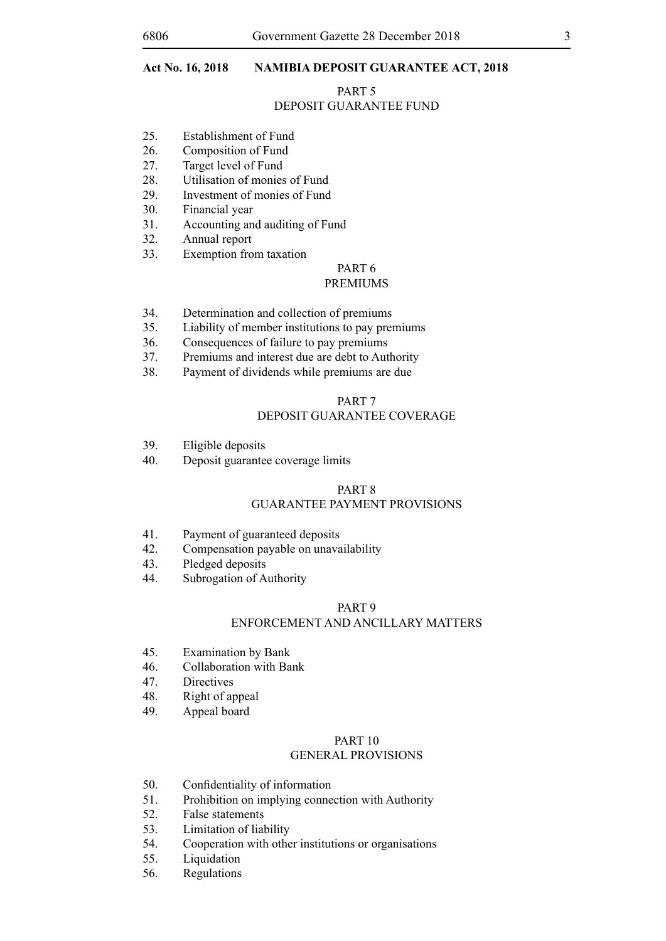#### PART 5

## DEPOSIT GUARANTEE FUND

- 25. Establishment of Fund
- 26. Composition of Fund
- 27. Target level of Fund
- 28. Utilisation of monies of Fund
- 29. Investment of monies of Fund
- 30. Financial year
- 31. Accounting and auditing of Fund
- 32. Annual report
- 33. Exemption from taxation

## PART 6

#### PREMIUMS

- 34. Determination and collection of premiums
- 35. Liability of member institutions to pay premiums
- 36. Consequences of failure to pay premiums
- 37. Premiums and interest due are debt to Authority
- 38. Payment of dividends while premiums are due

#### PART 7

## DEPOSIT GUARANTEE COVERAGE

- 39. Eligible deposits
- 40. Deposit guarantee coverage limits

#### PART 8 GUARANTEE PAYMENT PROVISIONS

- 41. Payment of guaranteed deposits
- 42. Compensation payable on unavailability
- 43. Pledged deposits
- 44. Subrogation of Authority

#### PART 9

## ENFORCEMENT AND ANCILLARY MATTERS

- 45. Examination by Bank
- 46. Collaboration with Bank
- 47. Directives
- 48. Right of appeal
- 49. Appeal board

## PART 10

### GENERAL PROVISIONS

- 50. Confidentiality of information
- 51. Prohibition on implying connection with Authority
- 52. False statements
- 53. Limitation of liability
- 54. Cooperation with other institutions or organisations
- 55. Liquidation
- 56. Regulations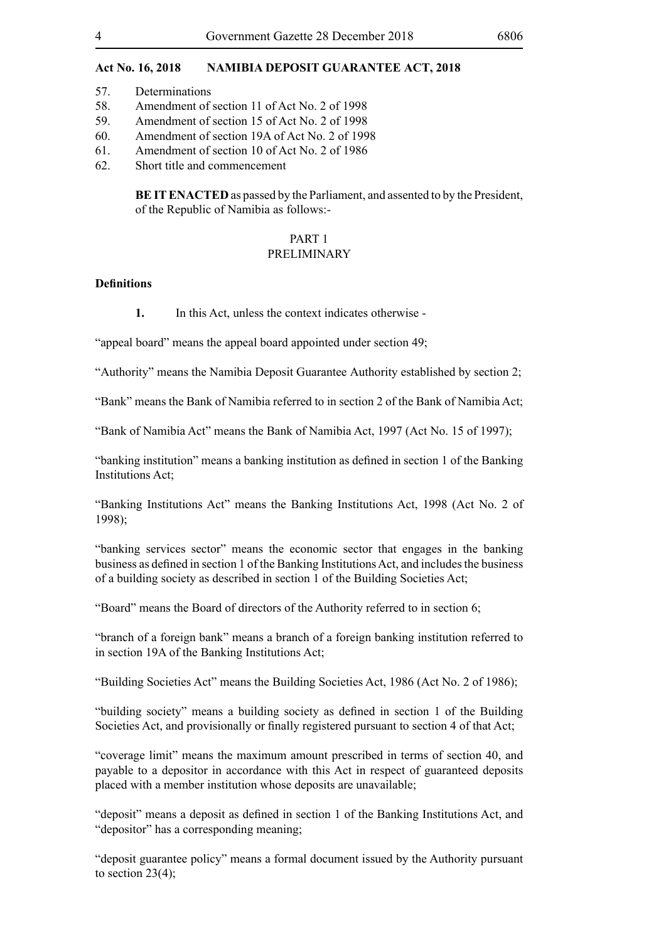- 57. Determinations
- 58. Amendment of section 11 of Act No. 2 of 1998
- 59. Amendment of section 15 of Act No. 2 of 1998
- 60. Amendment of section 19A of Act No. 2 of 1998
- 61. Amendment of section 10 of Act No. 2 of 1986
- 62. Short title and commencement

**BE IT ENACTED** as passed by the Parliament, and assented to by the President, of the Republic of Namibia as follows:-

## PART 1

#### PRELIMINARY

## **Definitions**

**1.** In this Act, unless the context indicates otherwise -

"appeal board" means the appeal board appointed under section 49;

"Authority" means the Namibia Deposit Guarantee Authority established by section 2;

"Bank" means the Bank of Namibia referred to in section 2 of the Bank of Namibia Act;

"Bank of Namibia Act" means the Bank of Namibia Act, 1997 (Act No. 15 of 1997);

"banking institution" means a banking institution as defined in section 1 of the Banking Institutions Act;

"Banking Institutions Act" means the Banking Institutions Act, 1998 (Act No. 2 of 1998);

"banking services sector" means the economic sector that engages in the banking business as defined in section 1 of the Banking InstitutionsAct, and includesthe business of a building society as described in section 1 of the Building Societies Act;

"Board" means the Board of directors of the Authority referred to in section 6;

"branch of a foreign bank" means a branch of a foreign banking institution referred to in section 19A of the Banking Institutions Act;

"Building Societies Act" means the Building Societies Act, 1986 (Act No. 2 of 1986);

"building society" means a building society as defined in section 1 of the Building Societies Act, and provisionally or finally registered pursuant to section 4 of that Act;

"coverage limit" means the maximum amount prescribed in terms of section 40, and payable to a depositor in accordance with this Act in respect of guaranteed deposits placed with a member institution whose deposits are unavailable;

"deposit" means a deposit as defined in section 1 of the Banking Institutions Act, and "depositor" has a corresponding meaning;

"deposit guarantee policy" means a formal document issued by the Authority pursuant to section  $23(4)$ ;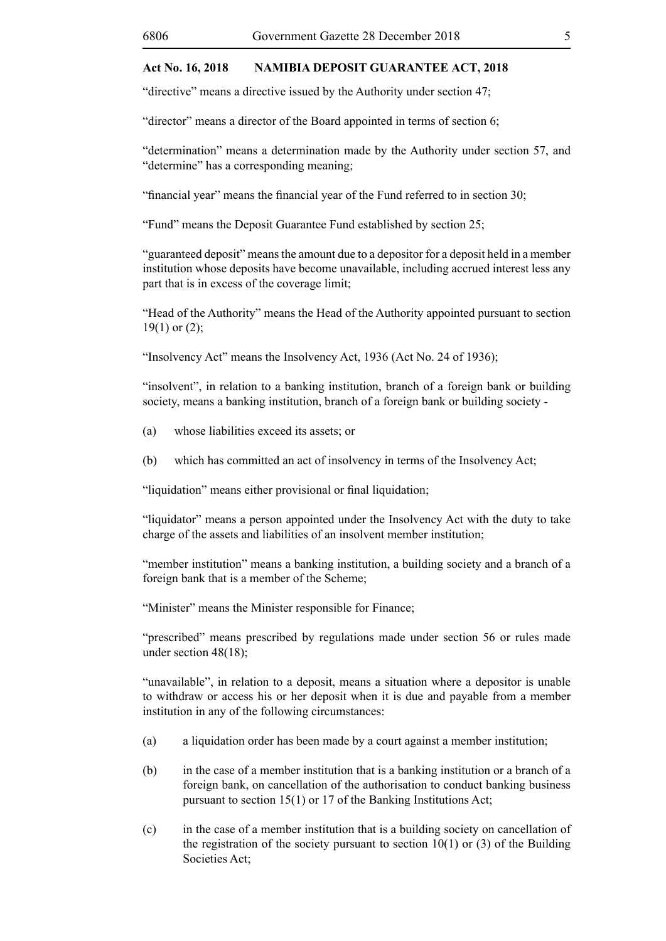"directive" means a directive issued by the Authority under section 47;

"director" means a director of the Board appointed in terms of section 6;

"determination" means a determination made by the Authority under section 57, and "determine" has a corresponding meaning;

"financial year" means the financial year of the Fund referred to in section 30;

"Fund" means the Deposit Guarantee Fund established by section 25;

"guaranteed deposit" means the amount due to a depositor for a deposit held in a member institution whose deposits have become unavailable, including accrued interest less any part that is in excess of the coverage limit;

"Head of the Authority" means the Head of the Authority appointed pursuant to section  $19(1)$  or  $(2)$ ;

"Insolvency Act" means the Insolvency Act, 1936 (Act No. 24 of 1936);

"insolvent", in relation to a banking institution, branch of a foreign bank or building society, means a banking institution, branch of a foreign bank or building society -

- (a) whose liabilities exceed its assets; or
- (b) which has committed an act of insolvency in terms of the Insolvency Act;

"liquidation" means either provisional or final liquidation;

"liquidator" means a person appointed under the Insolvency Act with the duty to take charge of the assets and liabilities of an insolvent member institution;

"member institution" means a banking institution, a building society and a branch of a foreign bank that is a member of the Scheme;

"Minister" means the Minister responsible for Finance;

"prescribed" means prescribed by regulations made under section 56 or rules made under section 48(18);

"unavailable", in relation to a deposit, means a situation where a depositor is unable to withdraw or access his or her deposit when it is due and payable from a member institution in any of the following circumstances:

- (a) a liquidation order has been made by a court against a member institution;
- (b) in the case of a member institution that is a banking institution or a branch of a foreign bank, on cancellation of the authorisation to conduct banking business pursuant to section 15(1) or 17 of the Banking Institutions Act;
- (c) in the case of a member institution that is a building society on cancellation of the registration of the society pursuant to section  $10(1)$  or (3) of the Building Societies Act;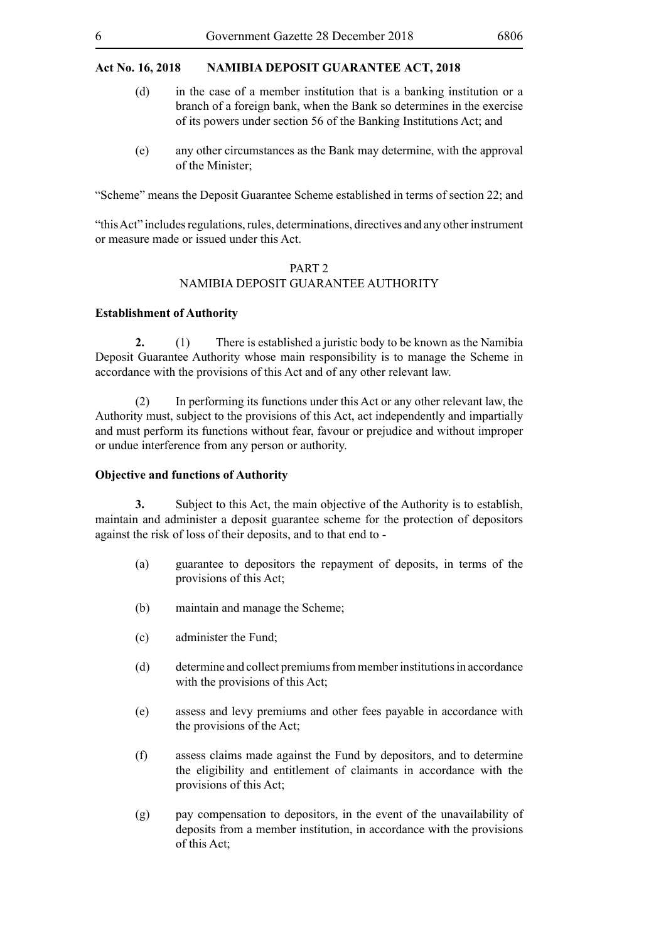- (d) in the case of a member institution that is a banking institution or a branch of a foreign bank, when the Bank so determines in the exercise of its powers under section 56 of the Banking Institutions Act; and
- (e) any other circumstances as the Bank may determine, with the approval of the Minister;

"Scheme" means the Deposit Guarantee Scheme established in terms of section 22; and

"this Act" includes regulations, rules, determinations, directives and any other instrument or measure made or issued under this Act.

## PART 2

#### NAMIBIA DEPOSIT GUARANTEE AUTHORITY

#### **Establishment of Authority**

**2.** (1) There is established a juristic body to be known as the Namibia Deposit Guarantee Authority whose main responsibility is to manage the Scheme in accordance with the provisions of this Act and of any other relevant law.

(2) In performing its functions under this Act or any other relevant law, the Authority must, subject to the provisions of this Act, act independently and impartially and must perform its functions without fear, favour or prejudice and without improper or undue interference from any person or authority.

## **Objective and functions of Authority**

**3.** Subject to this Act, the main objective of the Authority is to establish, maintain and administer a deposit guarantee scheme for the protection of depositors against the risk of loss of their deposits, and to that end to -

- (a) guarantee to depositors the repayment of deposits, in terms of the provisions of this Act;
- (b) maintain and manage the Scheme;
- (c) administer the Fund;
- (d) determine and collect premiums from member institutions in accordance with the provisions of this Act;
- (e) assess and levy premiums and other fees payable in accordance with the provisions of the Act;
- (f) assess claims made against the Fund by depositors, and to determine the eligibility and entitlement of claimants in accordance with the provisions of this Act;
- (g) pay compensation to depositors, in the event of the unavailability of deposits from a member institution, in accordance with the provisions of this Act;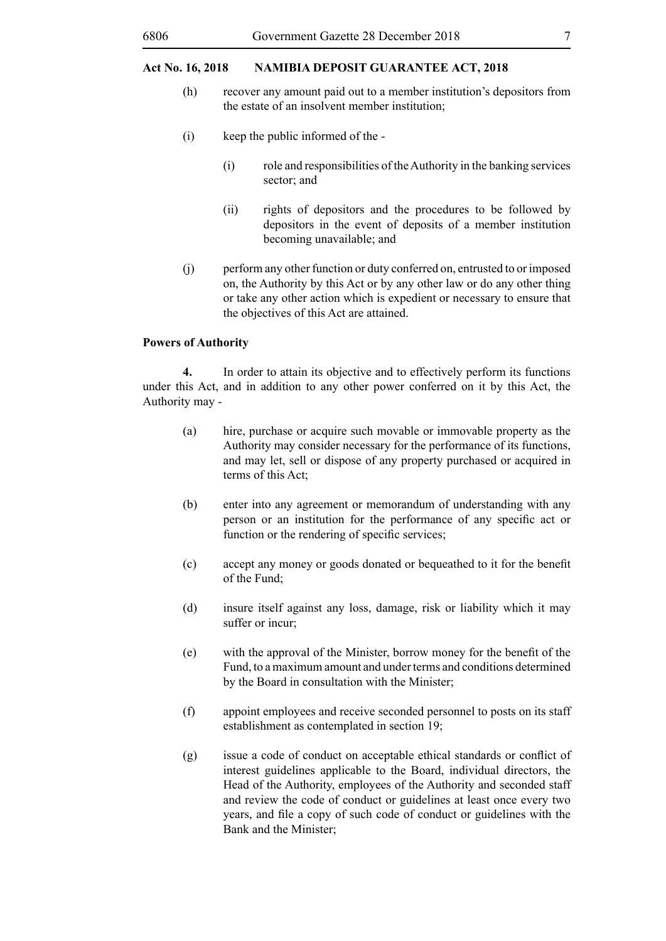- (h) recover any amount paid out to a member institution's depositors from the estate of an insolvent member institution;
- (i) keep the public informed of the
	- (i) role and responsibilities of the Authority in the banking services sector; and
	- (ii) rights of depositors and the procedures to be followed by depositors in the event of deposits of a member institution becoming unavailable; and
- (j) perform any other function or duty conferred on, entrusted to or imposed on, the Authority by this Act or by any other law or do any other thing or take any other action which is expedient or necessary to ensure that the objectives of this Act are attained.

#### **Powers of Authority**

**4.** In order to attain its objective and to effectively perform its functions under this Act, and in addition to any other power conferred on it by this Act, the Authority may -

- (a) hire, purchase or acquire such movable or immovable property as the Authority may consider necessary for the performance of its functions, and may let, sell or dispose of any property purchased or acquired in terms of this Act;
- (b) enter into any agreement or memorandum of understanding with any person or an institution for the performance of any specific act or function or the rendering of specific services;
- (c) accept any money or goods donated or bequeathed to it for the benefit of the Fund;
- (d) insure itself against any loss, damage, risk or liability which it may suffer or incur;
- (e) with the approval of the Minister, borrow money for the benefit of the Fund, to a maximum amount and under terms and conditions determined by the Board in consultation with the Minister;
- (f) appoint employees and receive seconded personnel to posts on its staff establishment as contemplated in section 19;
- (g) issue a code of conduct on acceptable ethical standards or conflict of interest guidelines applicable to the Board, individual directors, the Head of the Authority, employees of the Authority and seconded staff and review the code of conduct or guidelines at least once every two years, and file a copy of such code of conduct or guidelines with the Bank and the Minister;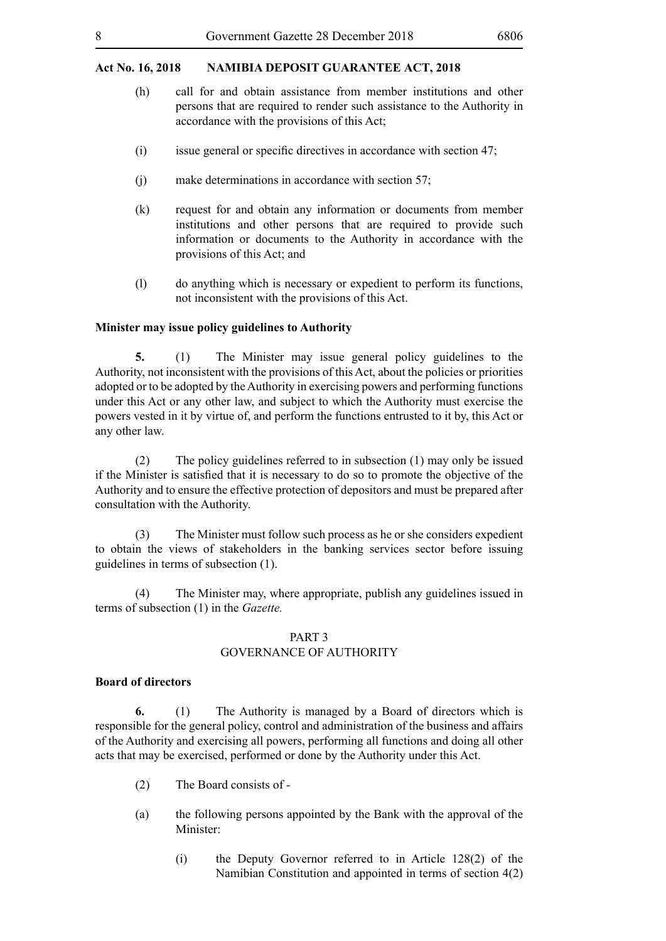- (h) call for and obtain assistance from member institutions and other persons that are required to render such assistance to the Authority in accordance with the provisions of this Act;
- $(i)$  issue general or specific directives in accordance with section 47;
- (j) make determinations in accordance with section 57;
- (k) request for and obtain any information or documents from member institutions and other persons that are required to provide such information or documents to the Authority in accordance with the provisions of this Act; and
- (l) do anything which is necessary or expedient to perform its functions, not inconsistent with the provisions of this Act.

#### **Minister may issue policy guidelines to Authority**

**5.** (1) The Minister may issue general policy guidelines to the Authority, not inconsistent with the provisions of this Act, about the policies or priorities adopted or to be adopted by the Authority in exercising powers and performing functions under this Act or any other law, and subject to which the Authority must exercise the powers vested in it by virtue of, and perform the functions entrusted to it by, this Act or any other law.

(2) The policy guidelines referred to in subsection (1) may only be issued if the Minister is satisfied that it is necessary to do so to promote the objective of the Authority and to ensure the effective protection of depositors and must be prepared after consultation with the Authority.

(3) The Minister must follow such process as he or she considers expedient to obtain the views of stakeholders in the banking services sector before issuing guidelines in terms of subsection (1).

(4) The Minister may, where appropriate, publish any guidelines issued in terms of subsection (1) in the *Gazette.*

#### PART 3 GOVERNANCE OF AUTHORITY

#### **Board of directors**

**6.** (1) The Authority is managed by a Board of directors which is responsible for the general policy, control and administration of the business and affairs of the Authority and exercising all powers, performing all functions and doing all other acts that may be exercised, performed or done by the Authority under this Act.

- (2) The Board consists of -
- (a) the following persons appointed by the Bank with the approval of the Minister:
	- (i) the Deputy Governor referred to in Article 128(2) of the Namibian Constitution and appointed in terms of section 4(2)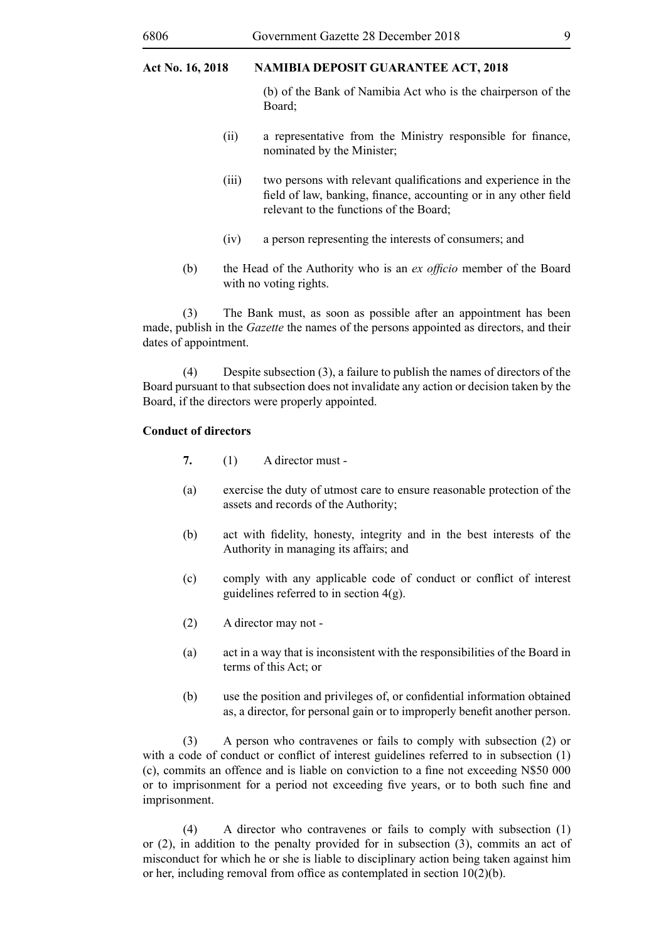(b) of the Bank of Namibia Act who is the chairperson of the Board;

- (ii) a representative from the Ministry responsible for finance, nominated by the Minister;
- (iii) two persons with relevant qualifications and experience in the field of law, banking, finance, accounting or in any other field relevant to the functions of the Board;
- (iv) a person representing the interests of consumers; and
- (b) the Head of the Authority who is an *ex officio* member of the Board with no voting rights.

(3) The Bank must, as soon as possible after an appointment has been made, publish in the *Gazette* the names of the persons appointed as directors, and their dates of appointment.

(4) Despite subsection (3), a failure to publish the names of directors of the Board pursuant to that subsection does not invalidate any action or decision taken by the Board, if the directors were properly appointed.

#### **Conduct of directors**

**7.** (1) A director must -

- (a) exercise the duty of utmost care to ensure reasonable protection of the assets and records of the Authority;
- (b) act with fidelity, honesty, integrity and in the best interests of the Authority in managing its affairs; and
- (c) comply with any applicable code of conduct or conflict of interest guidelines referred to in section  $4(g)$ .
- (2) A director may not -
- (a) act in a way that is inconsistent with the responsibilities of the Board in terms of this Act; or
- (b) use the position and privileges of, or confidential information obtained as, a director, for personal gain or to improperly benefit another person.

(3) A person who contravenes or fails to comply with subsection (2) or with a code of conduct or conflict of interest guidelines referred to in subsection (1) (c), commits an offence and is liable on conviction to a fine not exceeding N\$50 000 or to imprisonment for a period not exceeding five years, or to both such fine and imprisonment.

(4) A director who contravenes or fails to comply with subsection (1) or (2), in addition to the penalty provided for in subsection (3), commits an act of misconduct for which he or she is liable to disciplinary action being taken against him or her, including removal from office as contemplated in section 10(2)(b).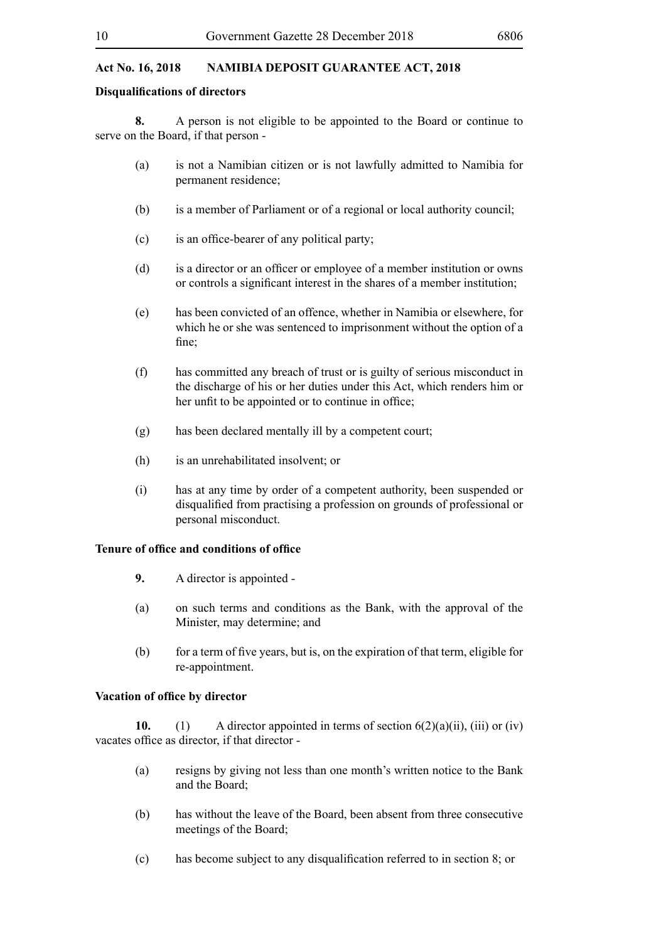#### **Disqualifications of directors**

**8.** A person is not eligible to be appointed to the Board or continue to serve on the Board, if that person -

- (a) is not a Namibian citizen or is not lawfully admitted to Namibia for permanent residence;
- (b) is a member of Parliament or of a regional or local authority council;
- (c) is an office-bearer of any political party;
- (d) is a director or an officer or employee of a member institution or owns or controls a significant interest in the shares of a member institution;
- (e) has been convicted of an offence, whether in Namibia or elsewhere, for which he or she was sentenced to imprisonment without the option of a fine;
- (f) has committed any breach of trust or is guilty of serious misconduct in the discharge of his or her duties under this Act, which renders him or her unfit to be appointed or to continue in office;
- (g) has been declared mentally ill by a competent court;
- (h) is an unrehabilitated insolvent; or
- (i) has at any time by order of a competent authority, been suspended or disqualified from practising a profession on grounds of professional or personal misconduct.

#### **Tenure of office and conditions of office**

- **9.** A director is appointed -
- (a) on such terms and conditions as the Bank, with the approval of the Minister, may determine; and
- (b) for a term of five years, but is, on the expiration of that term, eligible for re-appointment.

#### **Vacation of office by director**

**10.** (1) A director appointed in terms of section  $6(2)(a)(ii)$ , (iii) or (iv) vacates office as director, if that director -

- (a) resigns by giving not less than one month's written notice to the Bank and the Board;
- (b) has without the leave of the Board, been absent from three consecutive meetings of the Board;
- (c) has become subject to any disqualification referred to in section 8; or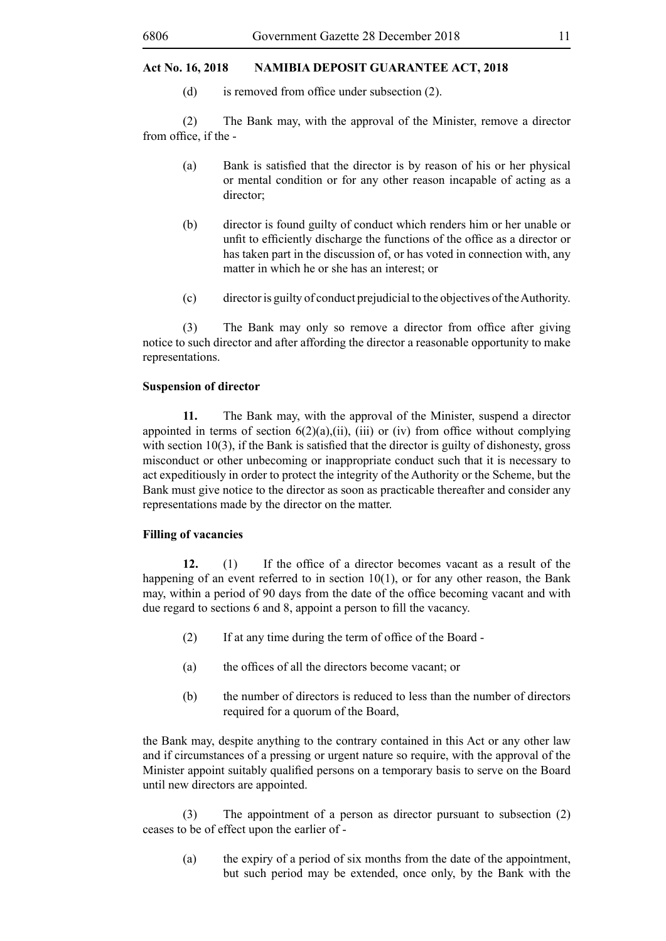(d) is removed from office under subsection (2).

(2) The Bank may, with the approval of the Minister, remove a director from office, if the -

- (a) Bank is satisfied that the director is by reason of his or her physical or mental condition or for any other reason incapable of acting as a director<sup>.</sup>
- (b) director is found guilty of conduct which renders him or her unable or unfit to efficiently discharge the functions of the office as a director or has taken part in the discussion of, or has voted in connection with, any matter in which he or she has an interest; or
- (c) director is guilty of conduct prejudicial to the objectives of the Authority.

(3) The Bank may only so remove a director from office after giving notice to such director and after affording the director a reasonable opportunity to make representations.

## **Suspension of director**

**11.** The Bank may, with the approval of the Minister, suspend a director appointed in terms of section  $6(2)(a)$ ,(ii), (iii) or (iv) from office without complying with section 10(3), if the Bank is satisfied that the director is guilty of dishonesty, gross misconduct or other unbecoming or inappropriate conduct such that it is necessary to act expeditiously in order to protect the integrity of the Authority or the Scheme, but the Bank must give notice to the director as soon as practicable thereafter and consider any representations made by the director on the matter.

## **Filling of vacancies**

**12.** (1) If the office of a director becomes vacant as a result of the happening of an event referred to in section 10(1), or for any other reason, the Bank may, within a period of 90 days from the date of the office becoming vacant and with due regard to sections 6 and 8, appoint a person to fill the vacancy.

- (2) If at any time during the term of office of the Board -
- (a) the offices of all the directors become vacant; or
- (b) the number of directors is reduced to less than the number of directors required for a quorum of the Board,

the Bank may, despite anything to the contrary contained in this Act or any other law and if circumstances of a pressing or urgent nature so require, with the approval of the Minister appoint suitably qualified persons on a temporary basis to serve on the Board until new directors are appointed.

(3) The appointment of a person as director pursuant to subsection (2) ceases to be of effect upon the earlier of -

(a) the expiry of a period of six months from the date of the appointment, but such period may be extended, once only, by the Bank with the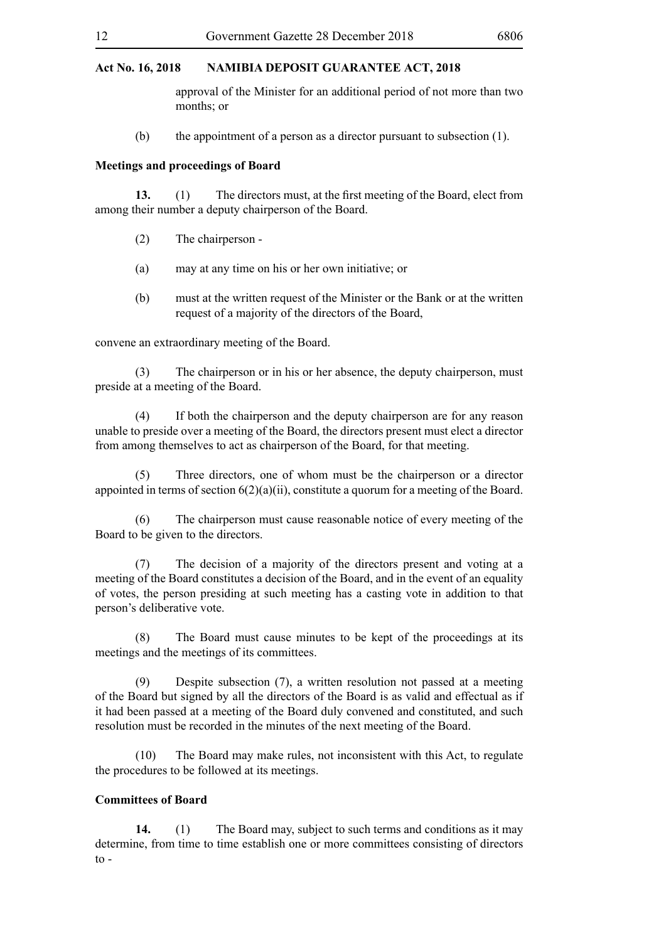approval of the Minister for an additional period of not more than two months; or

(b) the appointment of a person as a director pursuant to subsection (1).

#### **Meetings and proceedings of Board**

**13.** (1) The directors must, at the first meeting of the Board, elect from among their number a deputy chairperson of the Board.

- (2) The chairperson -
- (a) may at any time on his or her own initiative; or
- (b) must at the written request of the Minister or the Bank or at the written request of a majority of the directors of the Board,

convene an extraordinary meeting of the Board.

(3) The chairperson or in his or her absence, the deputy chairperson, must preside at a meeting of the Board.

(4) If both the chairperson and the deputy chairperson are for any reason unable to preside over a meeting of the Board, the directors present must elect a director from among themselves to act as chairperson of the Board, for that meeting.

(5) Three directors, one of whom must be the chairperson or a director appointed in terms of section 6(2)(a)(ii), constitute a quorum for a meeting of the Board.

(6) The chairperson must cause reasonable notice of every meeting of the Board to be given to the directors.

(7) The decision of a majority of the directors present and voting at a meeting of the Board constitutes a decision of the Board, and in the event of an equality of votes, the person presiding at such meeting has a casting vote in addition to that person's deliberative vote.

(8) The Board must cause minutes to be kept of the proceedings at its meetings and the meetings of its committees.

(9) Despite subsection (7), a written resolution not passed at a meeting of the Board but signed by all the directors of the Board is as valid and effectual as if it had been passed at a meeting of the Board duly convened and constituted, and such resolution must be recorded in the minutes of the next meeting of the Board.

(10) The Board may make rules, not inconsistent with this Act, to regulate the procedures to be followed at its meetings.

## **Committees of Board**

**14.** (1) The Board may, subject to such terms and conditions as it may determine, from time to time establish one or more committees consisting of directors to -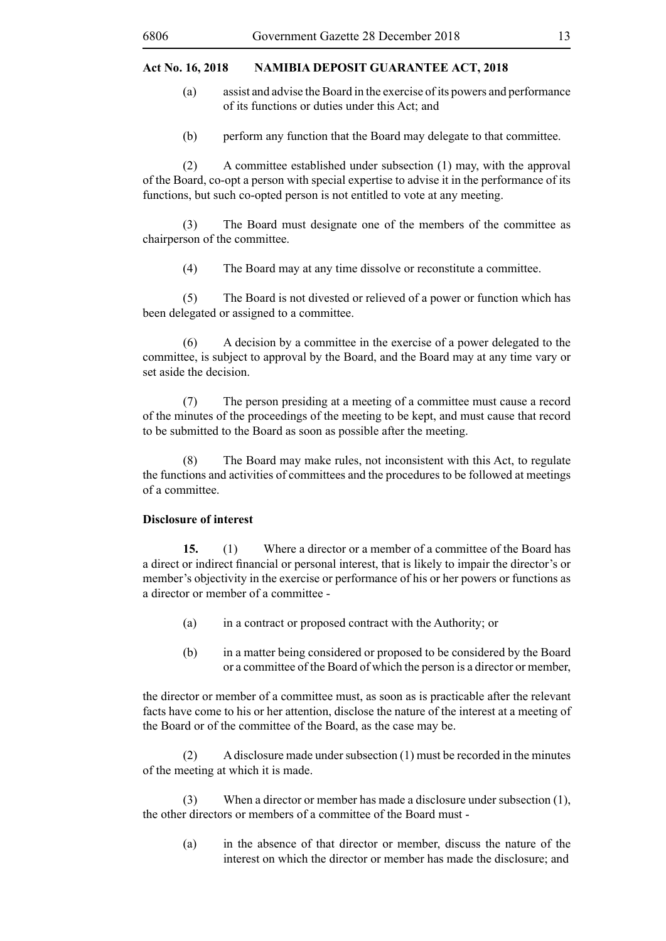- (a) assist and advise the Board in the exercise of its powers and performance of its functions or duties under this Act; and
- (b) perform any function that the Board may delegate to that committee.

(2) A committee established under subsection (1) may, with the approval of the Board, co-opt a person with special expertise to advise it in the performance of its functions, but such co-opted person is not entitled to vote at any meeting.

(3) The Board must designate one of the members of the committee as chairperson of the committee.

(4) The Board may at any time dissolve or reconstitute a committee.

(5) The Board is not divested or relieved of a power or function which has been delegated or assigned to a committee.

(6) A decision by a committee in the exercise of a power delegated to the committee, is subject to approval by the Board, and the Board may at any time vary or set aside the decision.

(7) The person presiding at a meeting of a committee must cause a record of the minutes of the proceedings of the meeting to be kept, and must cause that record to be submitted to the Board as soon as possible after the meeting.

(8) The Board may make rules, not inconsistent with this Act, to regulate the functions and activities of committees and the procedures to be followed at meetings of a committee.

## **Disclosure of interest**

**15.** (1) Where a director or a member of a committee of the Board has a direct or indirect financial or personal interest, that is likely to impair the director's or member's objectivity in the exercise or performance of his or her powers or functions as a director or member of a committee -

- (a) in a contract or proposed contract with the Authority; or
- (b) in a matter being considered or proposed to be considered by the Board or a committee of the Board of which the person is a director or member,

the director or member of a committee must, as soon as is practicable after the relevant facts have come to his or her attention, disclose the nature of the interest at a meeting of the Board or of the committee of the Board, as the case may be.

(2) A disclosure made under subsection (1) must be recorded in the minutes of the meeting at which it is made.

(3) When a director or member has made a disclosure under subsection (1), the other directors or members of a committee of the Board must -

(a) in the absence of that director or member, discuss the nature of the interest on which the director or member has made the disclosure; and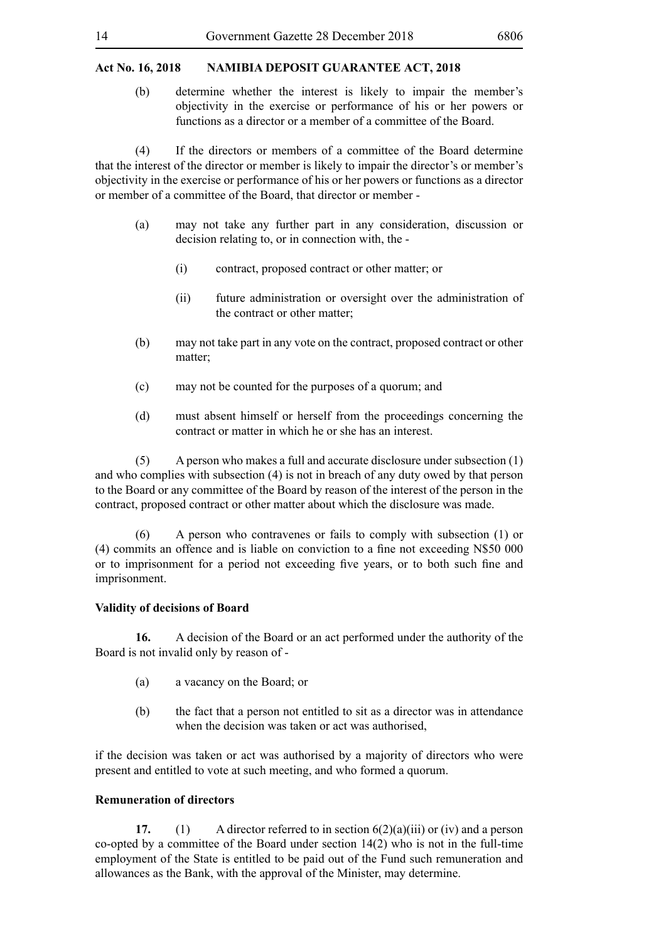(b) determine whether the interest is likely to impair the member's objectivity in the exercise or performance of his or her powers or functions as a director or a member of a committee of the Board.

(4) If the directors or members of a committee of the Board determine that the interest of the director or member is likely to impair the director's or member's objectivity in the exercise or performance of his or her powers or functions as a director or member of a committee of the Board, that director or member -

- (a) may not take any further part in any consideration, discussion or decision relating to, or in connection with, the -
	- (i) contract, proposed contract or other matter; or
	- (ii) future administration or oversight over the administration of the contract or other matter;
- (b) may not take part in any vote on the contract, proposed contract or other matter;
- (c) may not be counted for the purposes of a quorum; and
- (d) must absent himself or herself from the proceedings concerning the contract or matter in which he or she has an interest.

(5) A person who makes a full and accurate disclosure under subsection (1) and who complies with subsection (4) is not in breach of any duty owed by that person to the Board or any committee of the Board by reason of the interest of the person in the contract, proposed contract or other matter about which the disclosure was made.

(6) A person who contravenes or fails to comply with subsection (1) or (4) commits an offence and is liable on conviction to a fine not exceeding N\$50 000 or to imprisonment for a period not exceeding five years, or to both such fine and imprisonment.

#### **Validity of decisions of Board**

**16.** A decision of the Board or an act performed under the authority of the Board is not invalid only by reason of -

- (a) a vacancy on the Board; or
- (b) the fact that a person not entitled to sit as a director was in attendance when the decision was taken or act was authorised,

if the decision was taken or act was authorised by a majority of directors who were present and entitled to vote at such meeting, and who formed a quorum.

## **Remuneration of directors**

**17.** (1) A director referred to in section 6(2)(a)(iii) or (iv) and a person co-opted by a committee of the Board under section 14(2) who is not in the full-time employment of the State is entitled to be paid out of the Fund such remuneration and allowances as the Bank, with the approval of the Minister, may determine.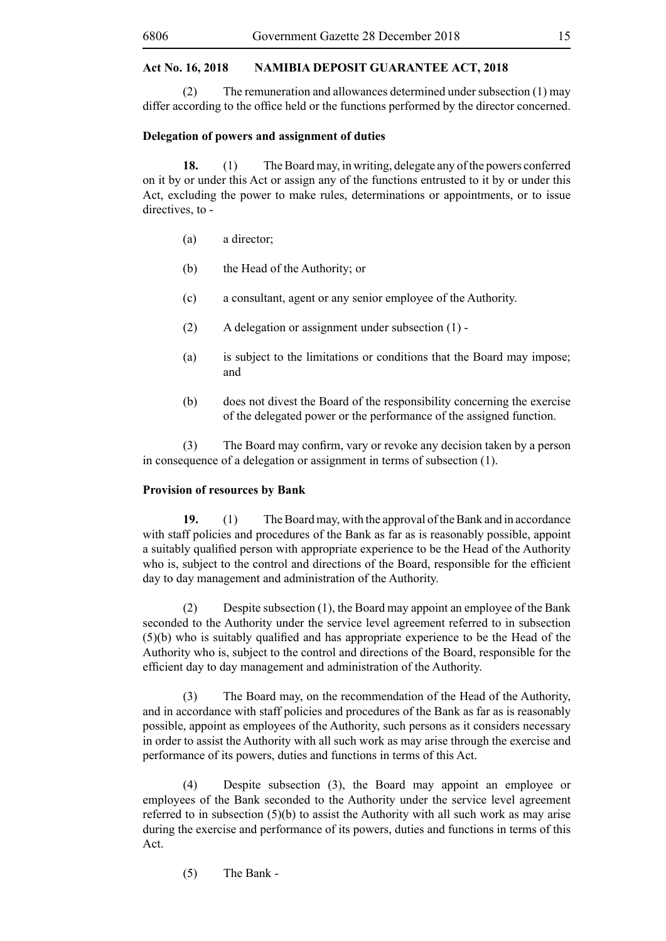(2) The remuneration and allowances determined under subsection (1) may differ according to the office held or the functions performed by the director concerned.

#### **Delegation of powers and assignment of duties**

**18.** (1) The Board may, in writing, delegate any of the powers conferred on it by or under this Act or assign any of the functions entrusted to it by or under this Act, excluding the power to make rules, determinations or appointments, or to issue directives, to -

- (a) a director;
- (b) the Head of the Authority; or
- (c) a consultant, agent or any senior employee of the Authority.
- (2) A delegation or assignment under subsection (1) -
- (a) is subject to the limitations or conditions that the Board may impose; and
- (b) does not divest the Board of the responsibility concerning the exercise of the delegated power or the performance of the assigned function.

 (3) The Board may confirm, vary or revoke any decision taken by a person in consequence of a delegation or assignment in terms of subsection (1).

## **Provision of resources by Bank**

**19.** (1) The Board may, with the approval of the Bank and in accordance with staff policies and procedures of the Bank as far as is reasonably possible, appoint a suitably qualified person with appropriate experience to be the Head of the Authority who is, subject to the control and directions of the Board, responsible for the efficient day to day management and administration of the Authority.

(2) Despite subsection (1), the Board may appoint an employee of the Bank seconded to the Authority under the service level agreement referred to in subsection (5)(b) who is suitably qualified and has appropriate experience to be the Head of the Authority who is, subject to the control and directions of the Board, responsible for the efficient day to day management and administration of the Authority.

(3) The Board may, on the recommendation of the Head of the Authority, and in accordance with staff policies and procedures of the Bank as far as is reasonably possible, appoint as employees of the Authority, such persons as it considers necessary in order to assist the Authority with all such work as may arise through the exercise and performance of its powers, duties and functions in terms of this Act.

(4) Despite subsection (3), the Board may appoint an employee or employees of the Bank seconded to the Authority under the service level agreement referred to in subsection  $(5)(b)$  to assist the Authority with all such work as may arise during the exercise and performance of its powers, duties and functions in terms of this Act.

(5) The Bank -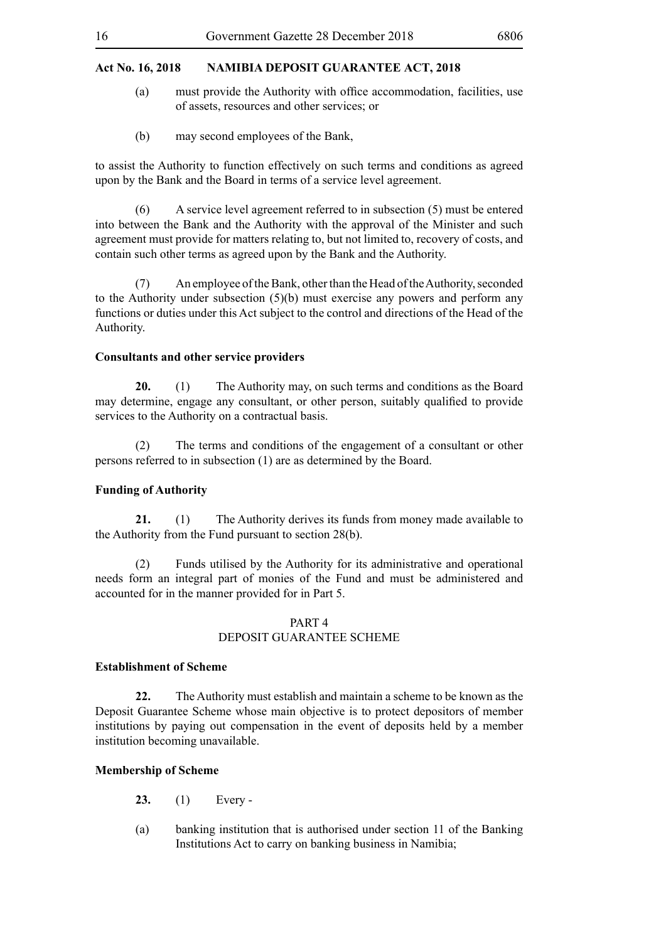- (a) must provide the Authority with office accommodation, facilities, use of assets, resources and other services; or
- (b) may second employees of the Bank,

to assist the Authority to function effectively on such terms and conditions as agreed upon by the Bank and the Board in terms of a service level agreement.

(6) A service level agreement referred to in subsection (5) must be entered into between the Bank and the Authority with the approval of the Minister and such agreement must provide for matters relating to, but not limited to, recovery of costs, and contain such other terms as agreed upon by the Bank and the Authority.

(7) An employee of the Bank, other than the Head of the Authority, seconded to the Authority under subsection (5)(b) must exercise any powers and perform any functions or duties under this Act subject to the control and directions of the Head of the Authority.

#### **Consultants and other service providers**

**20.** (1) The Authority may, on such terms and conditions as the Board may determine, engage any consultant, or other person, suitably qualified to provide services to the Authority on a contractual basis.

(2) The terms and conditions of the engagement of a consultant or other persons referred to in subsection (1) are as determined by the Board.

## **Funding of Authority**

**21.** (1) The Authority derives its funds from money made available to the Authority from the Fund pursuant to section 28(b).

(2) Funds utilised by the Authority for its administrative and operational needs form an integral part of monies of the Fund and must be administered and accounted for in the manner provided for in Part 5.

## PART 4

## DEPOSIT GUARANTEE SCHEME

## **Establishment of Scheme**

**22.** The Authority must establish and maintain a scheme to be known as the Deposit Guarantee Scheme whose main objective is to protect depositors of member institutions by paying out compensation in the event of deposits held by a member institution becoming unavailable.

## **Membership of Scheme**

- **23.** (1) Every -
- (a) banking institution that is authorised under section 11 of the Banking Institutions Act to carry on banking business in Namibia;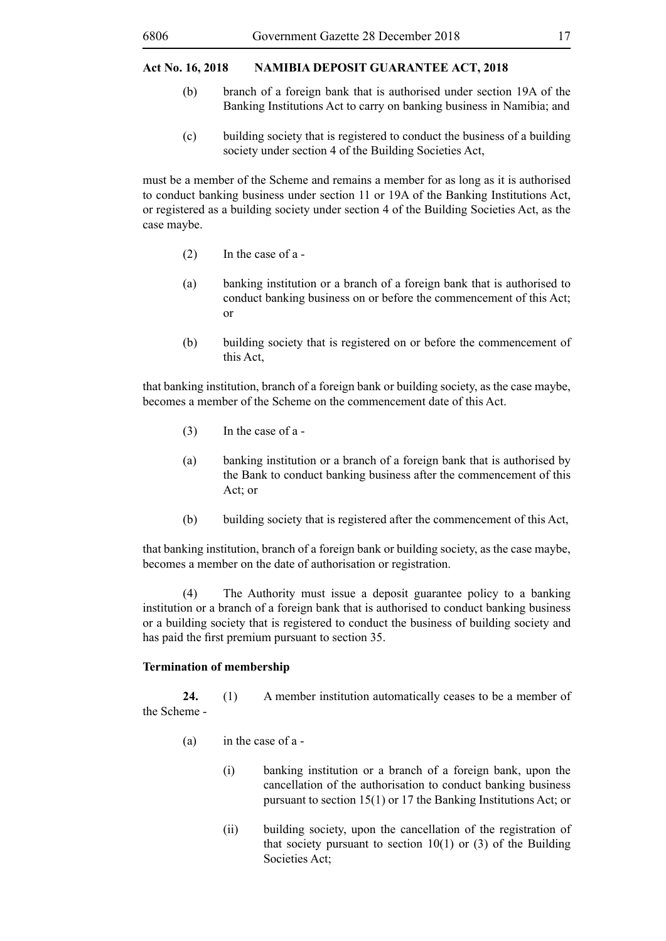- (b) branch of a foreign bank that is authorised under section 19A of the Banking Institutions Act to carry on banking business in Namibia; and
- (c) building society that is registered to conduct the business of a building society under section 4 of the Building Societies Act,

must be a member of the Scheme and remains a member for as long as it is authorised to conduct banking business under section 11 or 19A of the Banking Institutions Act, or registered as a building society under section 4 of the Building Societies Act, as the case maybe.

- (2) In the case of a -
- (a) banking institution or a branch of a foreign bank that is authorised to conduct banking business on or before the commencement of this Act; or
- (b) building society that is registered on or before the commencement of this Act,

that banking institution, branch of a foreign bank or building society, as the case maybe, becomes a member of the Scheme on the commencement date of this Act.

- (3) In the case of a -
- (a) banking institution or a branch of a foreign bank that is authorised by the Bank to conduct banking business after the commencement of this Act; or
- (b) building society that is registered after the commencement of this Act,

that banking institution, branch of a foreign bank or building society, as the case maybe, becomes a member on the date of authorisation or registration.

(4) The Authority must issue a deposit guarantee policy to a banking institution or a branch of a foreign bank that is authorised to conduct banking business or a building society that is registered to conduct the business of building society and has paid the first premium pursuant to section 35.

#### **Termination of membership**

**24.** (1) A member institution automatically ceases to be a member of the Scheme -

- (a) in the case of a
	- (i) banking institution or a branch of a foreign bank, upon the cancellation of the authorisation to conduct banking business pursuant to section 15(1) or 17 the Banking Institutions Act; or
	- (ii) building society, upon the cancellation of the registration of that society pursuant to section  $10(1)$  or (3) of the Building Societies Act;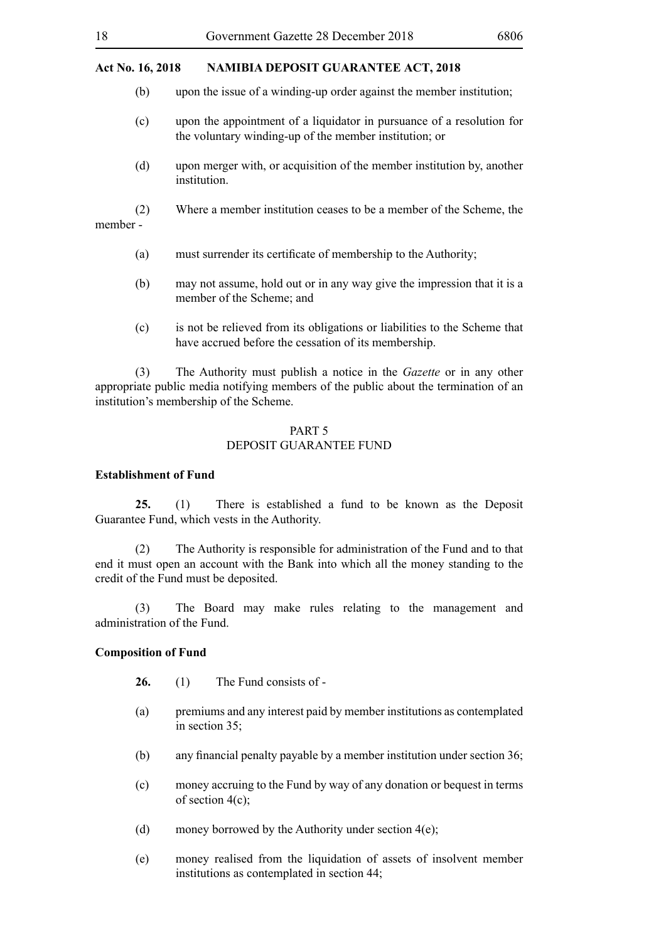- (b) upon the issue of a winding-up order against the member institution;
- (c) upon the appointment of a liquidator in pursuance of a resolution for the voluntary winding-up of the member institution; or
- (d) upon merger with, or acquisition of the member institution by, another institution.
- (2) Where a member institution ceases to be a member of the Scheme, the member -
	- (a) must surrender its certificate of membership to the Authority;
	- (b) may not assume, hold out or in any way give the impression that it is a member of the Scheme; and
	- (c) is not be relieved from its obligations or liabilities to the Scheme that have accrued before the cessation of its membership.

(3) The Authority must publish a notice in the *Gazette* or in any other appropriate public media notifying members of the public about the termination of an institution's membership of the Scheme.

#### PART 5 DEPOSIT GUARANTEE FUND

#### **Establishment of Fund**

**25.** (1) There is established a fund to be known as the Deposit Guarantee Fund, which vests in the Authority.

(2) The Authority is responsible for administration of the Fund and to that end it must open an account with the Bank into which all the money standing to the credit of the Fund must be deposited.

(3) The Board may make rules relating to the management and administration of the Fund.

#### **Composition of Fund**

- **26.** (1) The Fund consists of -
- (a) premiums and any interest paid by member institutions as contemplated in section 35;
- (b) any financial penalty payable by a member institution under section 36;
- (c) money accruing to the Fund by way of any donation or bequest in terms of section  $4(c)$ ;
- (d) money borrowed by the Authority under section 4(e);
- (e) money realised from the liquidation of assets of insolvent member institutions as contemplated in section 44;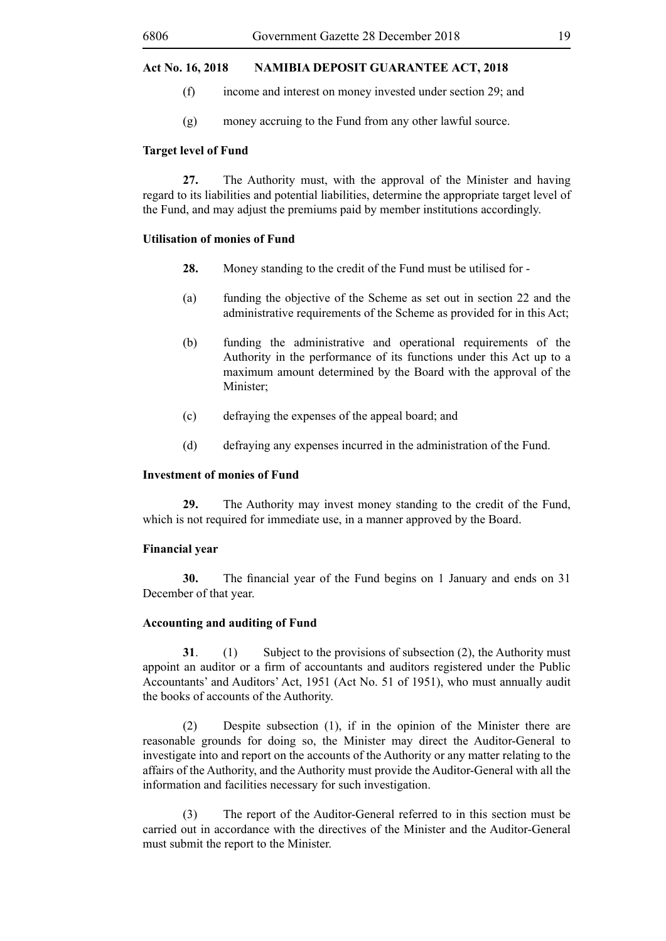- (f) income and interest on money invested under section 29; and
- (g) money accruing to the Fund from any other lawful source.

#### **Target level of Fund**

**27.** The Authority must, with the approval of the Minister and having regard to its liabilities and potential liabilities, determine the appropriate target level of the Fund, and may adjust the premiums paid by member institutions accordingly.

## **Utilisation of monies of Fund**

- **28.** Money standing to the credit of the Fund must be utilised for -
- (a) funding the objective of the Scheme as set out in section 22 and the administrative requirements of the Scheme as provided for in this Act;
- (b) funding the administrative and operational requirements of the Authority in the performance of its functions under this Act up to a maximum amount determined by the Board with the approval of the Minister;
- (c) defraying the expenses of the appeal board; and
- (d) defraying any expenses incurred in the administration of the Fund.

## **Investment of monies of Fund**

**29.** The Authority may invest money standing to the credit of the Fund, which is not required for immediate use, in a manner approved by the Board.

#### **Financial year**

**30.** The financial year of the Fund begins on 1 January and ends on 31 December of that year.

## **Accounting and auditing of Fund**

**31**. (1) Subject to the provisions of subsection (2), the Authority must appoint an auditor or a firm of accountants and auditors registered under the Public Accountants' and Auditors' Act, 1951 (Act No. 51 of 1951), who must annually audit the books of accounts of the Authority.

(2) Despite subsection (1), if in the opinion of the Minister there are reasonable grounds for doing so, the Minister may direct the Auditor-General to investigate into and report on the accounts of the Authority or any matter relating to the affairs of the Authority, and the Authority must provide the Auditor-General with all the information and facilities necessary for such investigation.

(3) The report of the Auditor-General referred to in this section must be carried out in accordance with the directives of the Minister and the Auditor-General must submit the report to the Minister.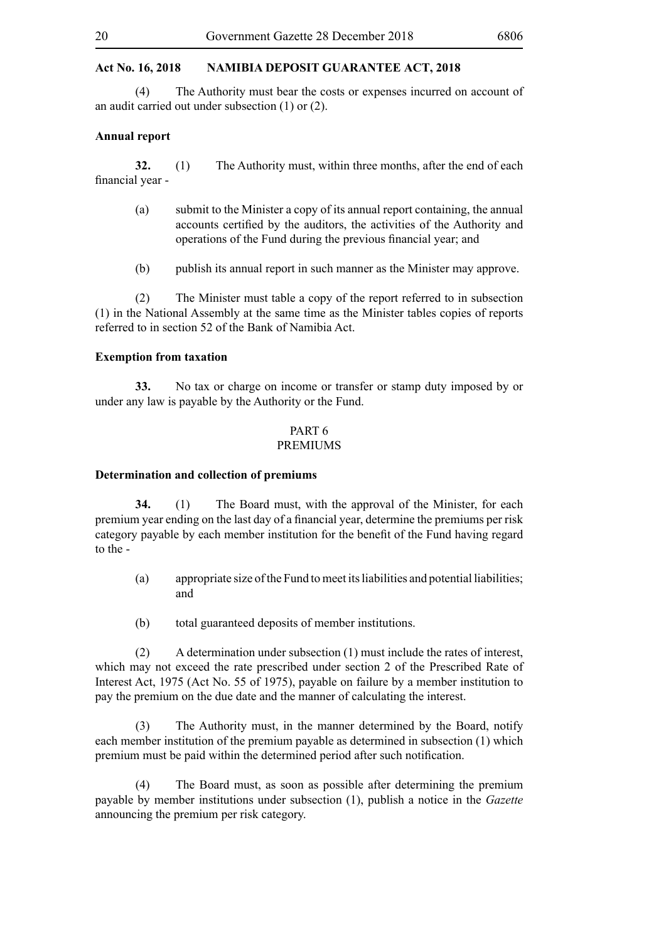(4) The Authority must bear the costs or expenses incurred on account of an audit carried out under subsection (1) or (2).

#### **Annual report**

**32.** (1) The Authority must, within three months, after the end of each financial year -

- (a) submit to the Minister a copy of its annual report containing, the annual accounts certified by the auditors, the activities of the Authority and operations of the Fund during the previous financial year; and
- (b) publish its annual report in such manner as the Minister may approve.

(2) The Minister must table a copy of the report referred to in subsection (1) in the National Assembly at the same time as the Minister tables copies of reports referred to in section 52 of the Bank of Namibia Act.

#### **Exemption from taxation**

**33.** No tax or charge on income or transfer or stamp duty imposed by or under any law is payable by the Authority or the Fund.

#### PART 6 PREMIUMS

#### **Determination and collection of premiums**

**34.** (1) The Board must, with the approval of the Minister, for each premium year ending on the last day of a financial year, determine the premiums per risk category payable by each member institution for the benefit of the Fund having regard to the -

- (a) appropriate size of the Fund to meet its liabilities and potential liabilities; and
- (b) total guaranteed deposits of member institutions.

(2) A determination under subsection (1) must include the rates of interest, which may not exceed the rate prescribed under section 2 of the Prescribed Rate of Interest Act, 1975 (Act No. 55 of 1975), payable on failure by a member institution to pay the premium on the due date and the manner of calculating the interest.

(3) The Authority must, in the manner determined by the Board, notify each member institution of the premium payable as determined in subsection (1) which premium must be paid within the determined period after such notification.

(4) The Board must, as soon as possible after determining the premium payable by member institutions under subsection (1), publish a notice in the *Gazette*  announcing the premium per risk category.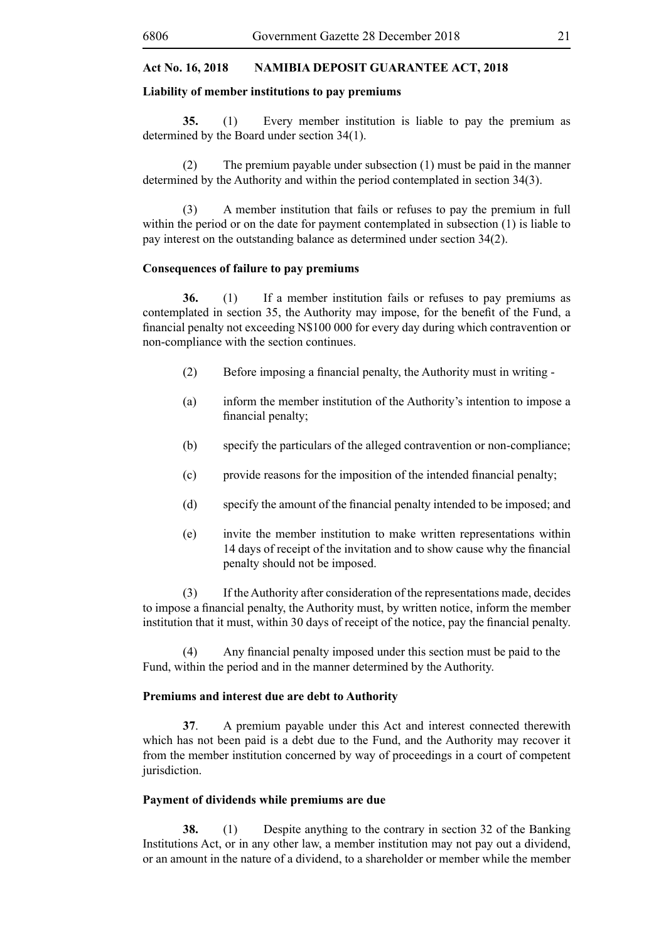## **Liability of member institutions to pay premiums**

**35.** (1) Every member institution is liable to pay the premium as determined by the Board under section 34(1).

(2) The premium payable under subsection (1) must be paid in the manner determined by the Authority and within the period contemplated in section 34(3).

(3) A member institution that fails or refuses to pay the premium in full within the period or on the date for payment contemplated in subsection (1) is liable to pay interest on the outstanding balance as determined under section 34(2).

#### **Consequences of failure to pay premiums**

**36.** (1) If a member institution fails or refuses to pay premiums as contemplated in section 35, the Authority may impose, for the benefit of the Fund, a financial penalty not exceeding N\$100 000 for every day during which contravention or non-compliance with the section continues.

- (2) Before imposing a financial penalty, the Authority must in writing -
- (a) inform the member institution of the Authority's intention to impose a financial penalty;
- (b) specify the particulars of the alleged contravention or non-compliance;
- (c) provide reasons for the imposition of the intended financial penalty;
- (d) specify the amount of the financial penalty intended to be imposed; and
- (e) invite the member institution to make written representations within 14 days of receipt of the invitation and to show cause why the financial penalty should not be imposed.

(3) If the Authority after consideration of the representations made, decides to impose a financial penalty, the Authority must, by written notice, inform the member institution that it must, within 30 days of receipt of the notice, pay the financial penalty.

 (4) Any financial penalty imposed under this section must be paid to the Fund, within the period and in the manner determined by the Authority.

#### **Premiums and interest due are debt to Authority**

**37**. A premium payable under this Act and interest connected therewith which has not been paid is a debt due to the Fund, and the Authority may recover it from the member institution concerned by way of proceedings in a court of competent jurisdiction.

## **Payment of dividends while premiums are due**

**38.** (1) Despite anything to the contrary in section 32 of the Banking Institutions Act, or in any other law, a member institution may not pay out a dividend, or an amount in the nature of a dividend, to a shareholder or member while the member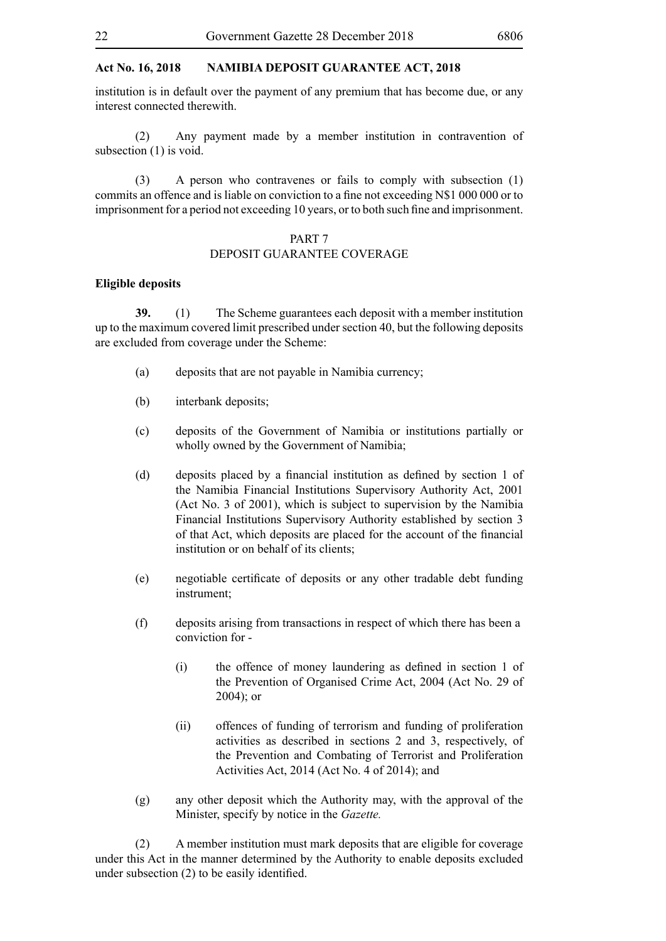institution is in default over the payment of any premium that has become due, or any interest connected therewith.

(2) Any payment made by a member institution in contravention of subsection (1) is void.

(3) A person who contravenes or fails to comply with subsection (1) commits an offence and is liable on conviction to a fine not exceeding N\$1 000 000 or to imprisonment for a period not exceeding 10 years, or to both such fine and imprisonment.

## PART 7

## DEPOSIT GUARANTEE COVERAGE

#### **Eligible deposits**

**39.** (1) The Scheme guarantees each deposit with a member institution up to the maximum covered limit prescribed under section 40, but the following deposits are excluded from coverage under the Scheme:

- (a) deposits that are not payable in Namibia currency;
- (b) interbank deposits;
- (c) deposits of the Government of Namibia or institutions partially or wholly owned by the Government of Namibia;
- (d) deposits placed by a financial institution as defined by section 1 of the Namibia Financial Institutions Supervisory Authority Act, 2001 (Act No. 3 of 2001), which is subject to supervision by the Namibia Financial Institutions Supervisory Authority established by section 3 of that Act, which deposits are placed for the account of the financial institution or on behalf of its clients;
- (e) negotiable certificate of deposits or any other tradable debt funding instrument;
- (f) deposits arising from transactions in respect of which there has been a conviction for -
	- (i) the offence of money laundering as defined in section 1 of the Prevention of Organised Crime Act, 2004 (Act No. 29 of 2004); or
	- (ii) offences of funding of terrorism and funding of proliferation activities as described in sections 2 and 3, respectively, of the Prevention and Combating of Terrorist and Proliferation Activities Act, 2014 (Act No. 4 of 2014); and
- (g) any other deposit which the Authority may, with the approval of the Minister, specify by notice in the *Gazette.*

(2) A member institution must mark deposits that are eligible for coverage under this Act in the manner determined by the Authority to enable deposits excluded under subsection (2) to be easily identified.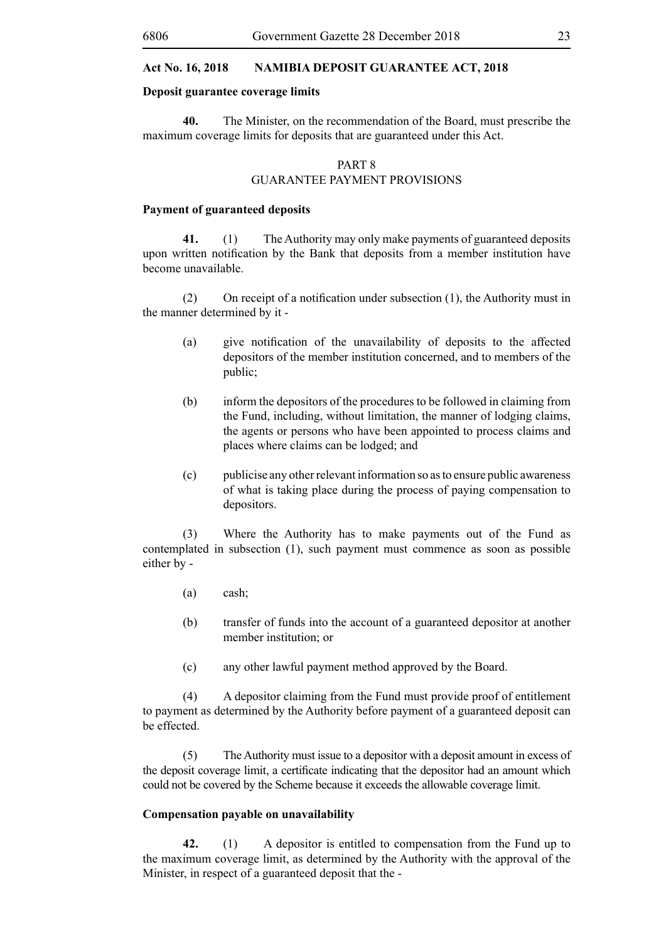#### **Deposit guarantee coverage limits**

**40.** The Minister, on the recommendation of the Board, must prescribe the maximum coverage limits for deposits that are guaranteed under this Act.

## PART 8 GUARANTEE PAYMENT PROVISIONS

#### **Payment of guaranteed deposits**

**41.** (1) The Authority may only make payments of guaranteed deposits upon written notification by the Bank that deposits from a member institution have become unavailable.

(2) On receipt of a notification under subsection  $(1)$ , the Authority must in the manner determined by it -

- (a) give notification of the unavailability of deposits to the affected depositors of the member institution concerned, and to members of the public;
- (b) inform the depositors of the procedures to be followed in claiming from the Fund, including, without limitation, the manner of lodging claims, the agents or persons who have been appointed to process claims and places where claims can be lodged; and
- (c) publicise any other relevant information so as to ensure public awareness of what is taking place during the process of paying compensation to depositors.

(3) Where the Authority has to make payments out of the Fund as contemplated in subsection (1), such payment must commence as soon as possible either by -

- (a) cash;
- (b) transfer of funds into the account of a guaranteed depositor at another member institution; or
- (c) any other lawful payment method approved by the Board.

(4) A depositor claiming from the Fund must provide proof of entitlement to payment as determined by the Authority before payment of a guaranteed deposit can be effected.

(5) The Authority must issue to a depositor with a deposit amount in excess of the deposit coverage limit, a certificate indicating that the depositor had an amount which could not be covered by the Scheme because it exceeds the allowable coverage limit.

#### **Compensation payable on unavailability**

**42.** (1) A depositor is entitled to compensation from the Fund up to the maximum coverage limit, as determined by the Authority with the approval of the Minister, in respect of a guaranteed deposit that the -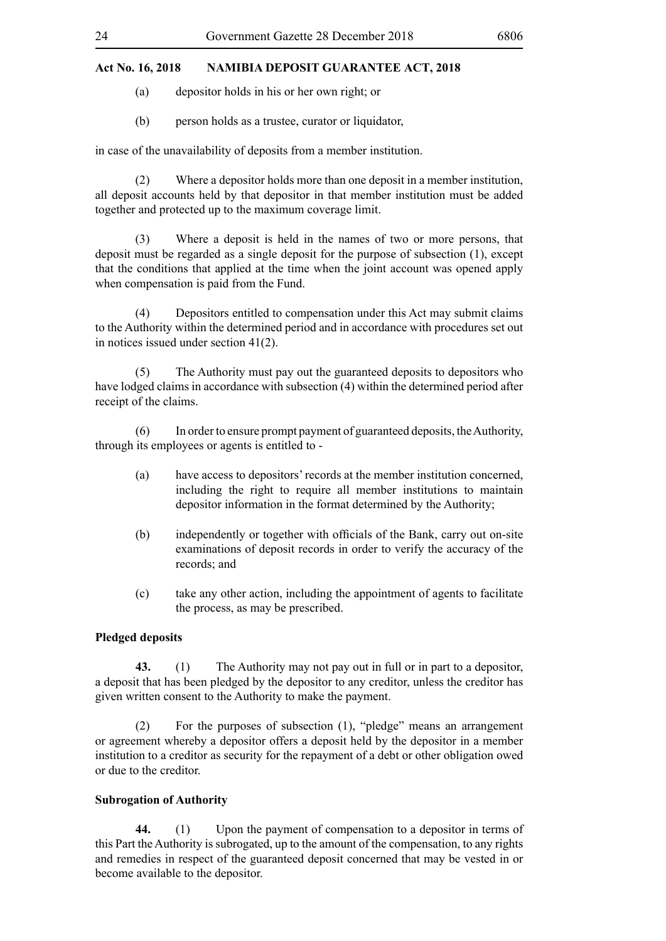- (a) depositor holds in his or her own right; or
- (b) person holds as a trustee, curator or liquidator,

in case of the unavailability of deposits from a member institution.

(2) Where a depositor holds more than one deposit in a member institution, all deposit accounts held by that depositor in that member institution must be added together and protected up to the maximum coverage limit.

(3) Where a deposit is held in the names of two or more persons, that deposit must be regarded as a single deposit for the purpose of subsection (1), except that the conditions that applied at the time when the joint account was opened apply when compensation is paid from the Fund.

(4) Depositors entitled to compensation under this Act may submit claims to the Authority within the determined period and in accordance with procedures set out in notices issued under section 41(2).

(5) The Authority must pay out the guaranteed deposits to depositors who have lodged claims in accordance with subsection (4) within the determined period after receipt of the claims.

(6) In order to ensure prompt payment of guaranteed deposits, the Authority, through its employees or agents is entitled to -

- (a) have access to depositors' records at the member institution concerned, including the right to require all member institutions to maintain depositor information in the format determined by the Authority;
- (b) independently or together with officials of the Bank, carry out on-site examinations of deposit records in order to verify the accuracy of the records; and
- (c) take any other action, including the appointment of agents to facilitate the process, as may be prescribed.

#### **Pledged deposits**

**43.** (1) The Authority may not pay out in full or in part to a depositor, a deposit that has been pledged by the depositor to any creditor, unless the creditor has given written consent to the Authority to make the payment.

(2) For the purposes of subsection (1), "pledge" means an arrangement or agreement whereby a depositor offers a deposit held by the depositor in a member institution to a creditor as security for the repayment of a debt or other obligation owed or due to the creditor.

#### **Subrogation of Authority**

**44.** (1) Upon the payment of compensation to a depositor in terms of this Part the Authority is subrogated, up to the amount of the compensation, to any rights and remedies in respect of the guaranteed deposit concerned that may be vested in or become available to the depositor.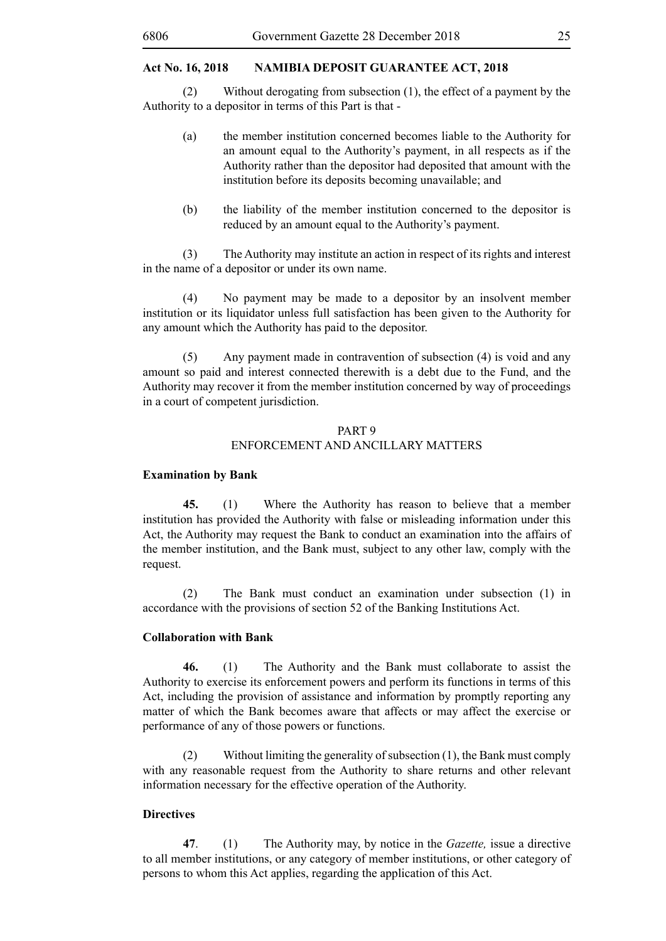(2) Without derogating from subsection (1), the effect of a payment by the Authority to a depositor in terms of this Part is that -

- (a) the member institution concerned becomes liable to the Authority for an amount equal to the Authority's payment, in all respects as if the Authority rather than the depositor had deposited that amount with the institution before its deposits becoming unavailable; and
- (b) the liability of the member institution concerned to the depositor is reduced by an amount equal to the Authority's payment.

(3) The Authority may institute an action in respect of its rights and interest in the name of a depositor or under its own name.

(4) No payment may be made to a depositor by an insolvent member institution or its liquidator unless full satisfaction has been given to the Authority for any amount which the Authority has paid to the depositor.

(5) Any payment made in contravention of subsection (4) is void and any amount so paid and interest connected therewith is a debt due to the Fund, and the Authority may recover it from the member institution concerned by way of proceedings in a court of competent jurisdiction.

## PART 9 ENFORCEMENT AND ANCILLARY MATTERS

#### **Examination by Bank**

**45.** (1) Where the Authority has reason to believe that a member institution has provided the Authority with false or misleading information under this Act, the Authority may request the Bank to conduct an examination into the affairs of the member institution, and the Bank must, subject to any other law, comply with the request.

(2) The Bank must conduct an examination under subsection (1) in accordance with the provisions of section 52 of the Banking Institutions Act.

#### **Collaboration with Bank**

**46.** (1) The Authority and the Bank must collaborate to assist the Authority to exercise its enforcement powers and perform its functions in terms of this Act, including the provision of assistance and information by promptly reporting any matter of which the Bank becomes aware that affects or may affect the exercise or performance of any of those powers or functions.

(2) Without limiting the generality of subsection (1), the Bank must comply with any reasonable request from the Authority to share returns and other relevant information necessary for the effective operation of the Authority.

#### **Directives**

**47**. (1) The Authority may, by notice in the *Gazette,* issue a directive to all member institutions, or any category of member institutions, or other category of persons to whom this Act applies, regarding the application of this Act.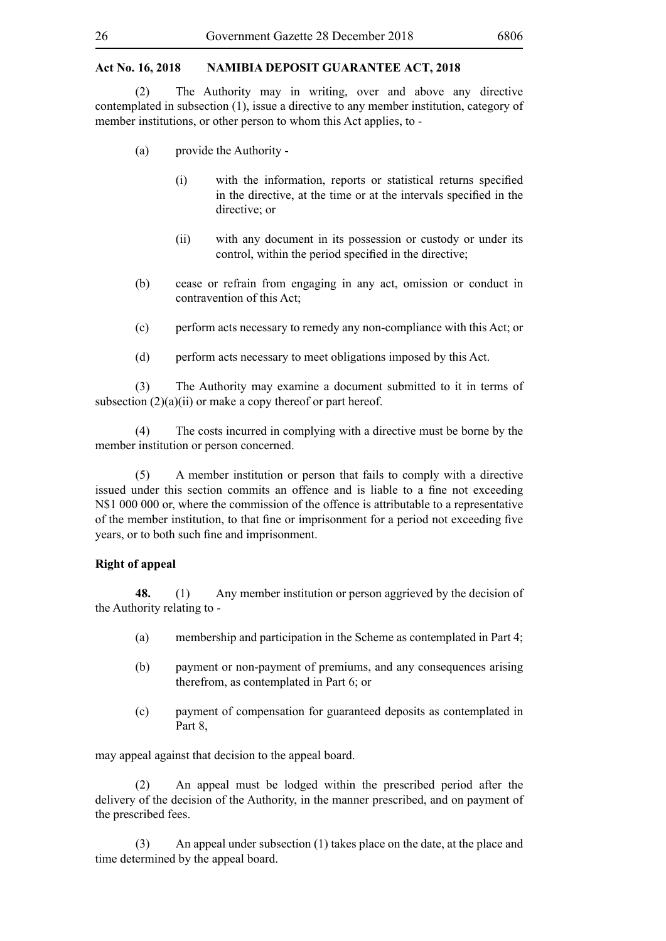(2) The Authority may in writing, over and above any directive contemplated in subsection (1), issue a directive to any member institution, category of member institutions, or other person to whom this Act applies, to -

- (a) provide the Authority
	- (i) with the information, reports or statistical returns specified in the directive, at the time or at the intervals specified in the directive; or
	- (ii) with any document in its possession or custody or under its control, within the period specified in the directive;
- (b) cease or refrain from engaging in any act, omission or conduct in contravention of this Act;
- (c) perform acts necessary to remedy any non-compliance with this Act; or
- (d) perform acts necessary to meet obligations imposed by this Act.

(3) The Authority may examine a document submitted to it in terms of subsection  $(2)(a)(ii)$  or make a copy thereof or part hereof.

(4) The costs incurred in complying with a directive must be borne by the member institution or person concerned.

(5) A member institution or person that fails to comply with a directive issued under this section commits an offence and is liable to a fine not exceeding N\$1 000 000 or, where the commission of the offence is attributable to a representative of the member institution, to that fine or imprisonment for a period not exceeding five years, or to both such fine and imprisonment.

#### **Right of appeal**

**48.** (1) Any member institution or person aggrieved by the decision of the Authority relating to -

- (a) membership and participation in the Scheme as contemplated in Part 4;
- (b) payment or non-payment of premiums, and any consequences arising therefrom, as contemplated in Part 6; or
- (c) payment of compensation for guaranteed deposits as contemplated in Part 8,

may appeal against that decision to the appeal board.

(2) An appeal must be lodged within the prescribed period after the delivery of the decision of the Authority, in the manner prescribed, and on payment of the prescribed fees.

(3) An appeal under subsection (1) takes place on the date, at the place and time determined by the appeal board.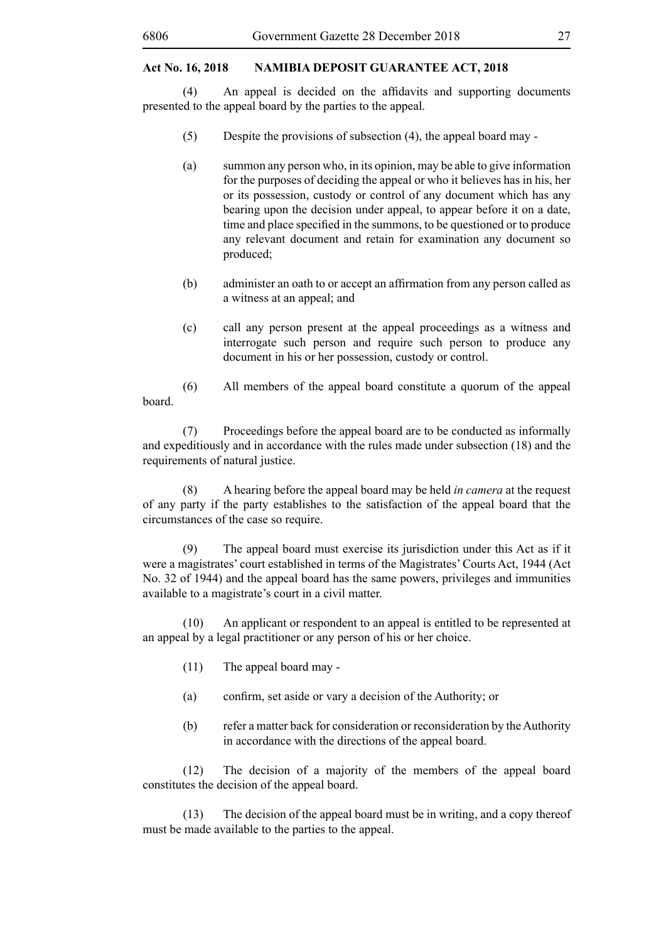(4) An appeal is decided on the affidavits and supporting documents presented to the appeal board by the parties to the appeal.

- (5) Despite the provisions of subsection (4), the appeal board may -
- (a) summon any person who, in its opinion, may be able to give information for the purposes of deciding the appeal or who it believes has in his, her or its possession, custody or control of any document which has any bearing upon the decision under appeal, to appear before it on a date, time and place specified in the summons, to be questioned or to produce any relevant document and retain for examination any document so produced;
- (b) administer an oath to or accept an affirmation from any person called as a witness at an appeal; and
- (c) call any person present at the appeal proceedings as a witness and interrogate such person and require such person to produce any document in his or her possession, custody or control.

(6) All members of the appeal board constitute a quorum of the appeal board.

(7) Proceedings before the appeal board are to be conducted as informally and expeditiously and in accordance with the rules made under subsection (18) and the requirements of natural justice.

(8) A hearing before the appeal board may be held *in camera* at the request of any party if the party establishes to the satisfaction of the appeal board that the circumstances of the case so require.

(9) The appeal board must exercise its jurisdiction under this Act as if it were a magistrates' court established in terms of the Magistrates' Courts Act, 1944 (Act No. 32 of 1944) and the appeal board has the same powers, privileges and immunities available to a magistrate's court in a civil matter.

(10) An applicant or respondent to an appeal is entitled to be represented at an appeal by a legal practitioner or any person of his or her choice.

- (11) The appeal board may -
- (a) confirm, set aside or vary a decision of the Authority; or
- (b) refer a matter back for consideration or reconsideration by the Authority in accordance with the directions of the appeal board.

(12) The decision of a majority of the members of the appeal board constitutes the decision of the appeal board.

(13) The decision of the appeal board must be in writing, and a copy thereof must be made available to the parties to the appeal.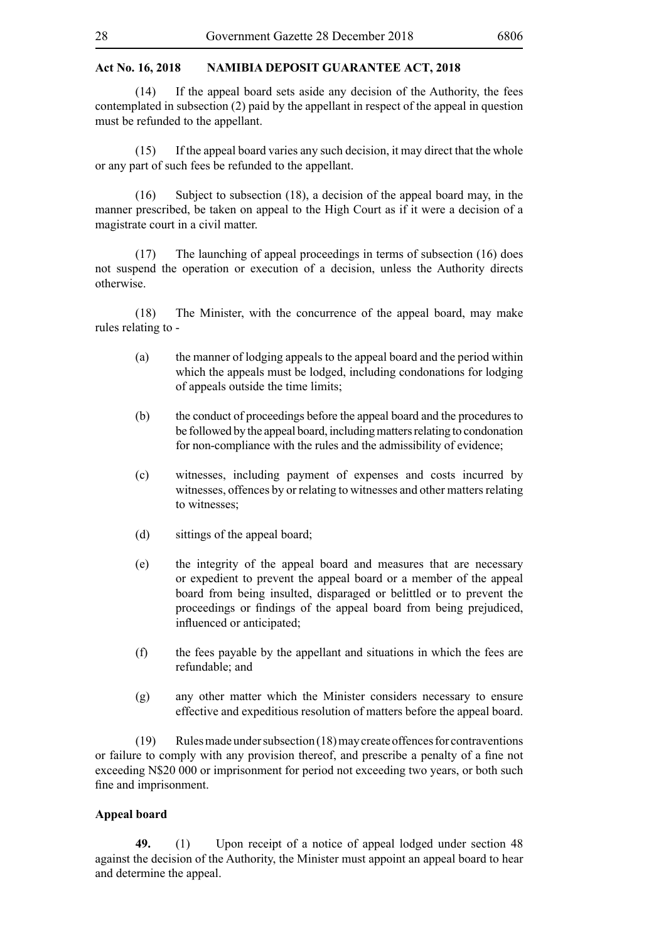(14) If the appeal board sets aside any decision of the Authority, the fees contemplated in subsection (2) paid by the appellant in respect of the appeal in question must be refunded to the appellant.

(15) If the appeal board varies any such decision, it may direct that the whole or any part of such fees be refunded to the appellant.

(16) Subject to subsection (18), a decision of the appeal board may, in the manner prescribed, be taken on appeal to the High Court as if it were a decision of a magistrate court in a civil matter.

(17) The launching of appeal proceedings in terms of subsection (16) does not suspend the operation or execution of a decision, unless the Authority directs otherwise.

(18) The Minister, with the concurrence of the appeal board, may make rules relating to -

- (a) the manner of lodging appeals to the appeal board and the period within which the appeals must be lodged, including condonations for lodging of appeals outside the time limits;
- (b) the conduct of proceedings before the appeal board and the procedures to be followed by the appeal board, including matters relating to condonation for non-compliance with the rules and the admissibility of evidence;
- (c) witnesses, including payment of expenses and costs incurred by witnesses, offences by or relating to witnesses and other matters relating to witnesses;
- (d) sittings of the appeal board;
- (e) the integrity of the appeal board and measures that are necessary or expedient to prevent the appeal board or a member of the appeal board from being insulted, disparaged or belittled or to prevent the proceedings or findings of the appeal board from being prejudiced, influenced or anticipated;
- (f) the fees payable by the appellant and situations in which the fees are refundable; and
- (g) any other matter which the Minister considers necessary to ensure effective and expeditious resolution of matters before the appeal board.

(19) Rules made under subsection (18) may create offences for contraventions or failure to comply with any provision thereof, and prescribe a penalty of a fine not exceeding N\$20 000 or imprisonment for period not exceeding two years, or both such fine and imprisonment.

#### **Appeal board**

**49.** (1) Upon receipt of a notice of appeal lodged under section 48 against the decision of the Authority, the Minister must appoint an appeal board to hear and determine the appeal.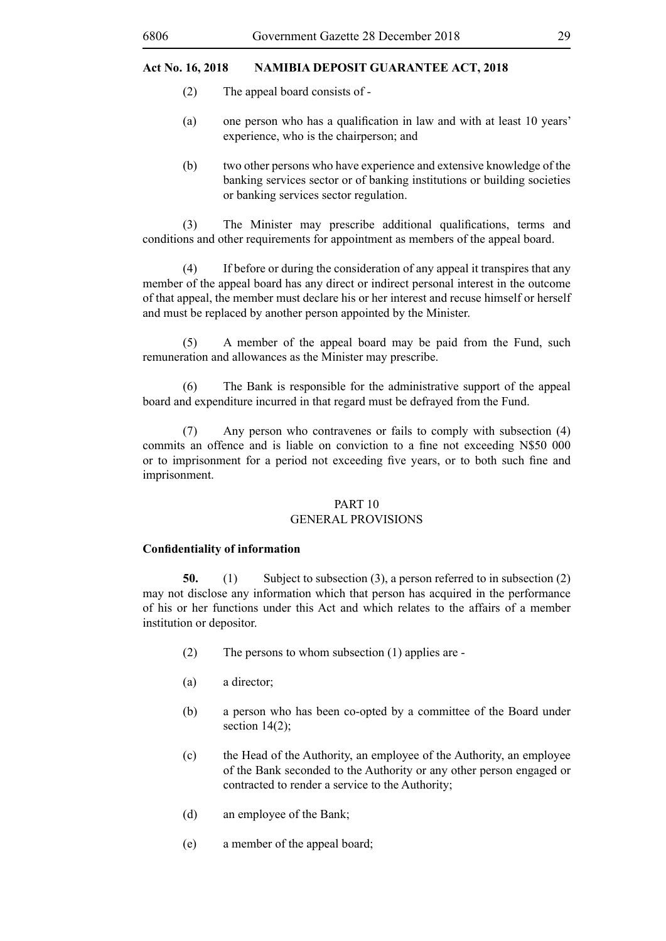- (2) The appeal board consists of -
- (a) one person who has a qualification in law and with at least 10 years' experience, who is the chairperson; and
- (b) two other persons who have experience and extensive knowledge of the banking services sector or of banking institutions or building societies or banking services sector regulation.

 (3) The Minister may prescribe additional qualifications, terms and conditions and other requirements for appointment as members of the appeal board.

(4) If before or during the consideration of any appeal it transpires that any member of the appeal board has any direct or indirect personal interest in the outcome of that appeal, the member must declare his or her interest and recuse himself or herself and must be replaced by another person appointed by the Minister.

(5) A member of the appeal board may be paid from the Fund, such remuneration and allowances as the Minister may prescribe.

(6) The Bank is responsible for the administrative support of the appeal board and expenditure incurred in that regard must be defrayed from the Fund.

(7) Any person who contravenes or fails to comply with subsection (4) commits an offence and is liable on conviction to a fine not exceeding N\$50 000 or to imprisonment for a period not exceeding five years, or to both such fine and imprisonment.

## PART 10

## GENERAL PROVISIONS

#### **Confidentiality of information**

**50.** (1) Subject to subsection (3), a person referred to in subsection (2) may not disclose any information which that person has acquired in the performance of his or her functions under this Act and which relates to the affairs of a member institution or depositor.

- (2) The persons to whom subsection (1) applies are -
- (a) a director;
- (b) a person who has been co-opted by a committee of the Board under section  $14(2)$ ;
- (c) the Head of the Authority, an employee of the Authority, an employee of the Bank seconded to the Authority or any other person engaged or contracted to render a service to the Authority;
- (d) an employee of the Bank;
- (e) a member of the appeal board;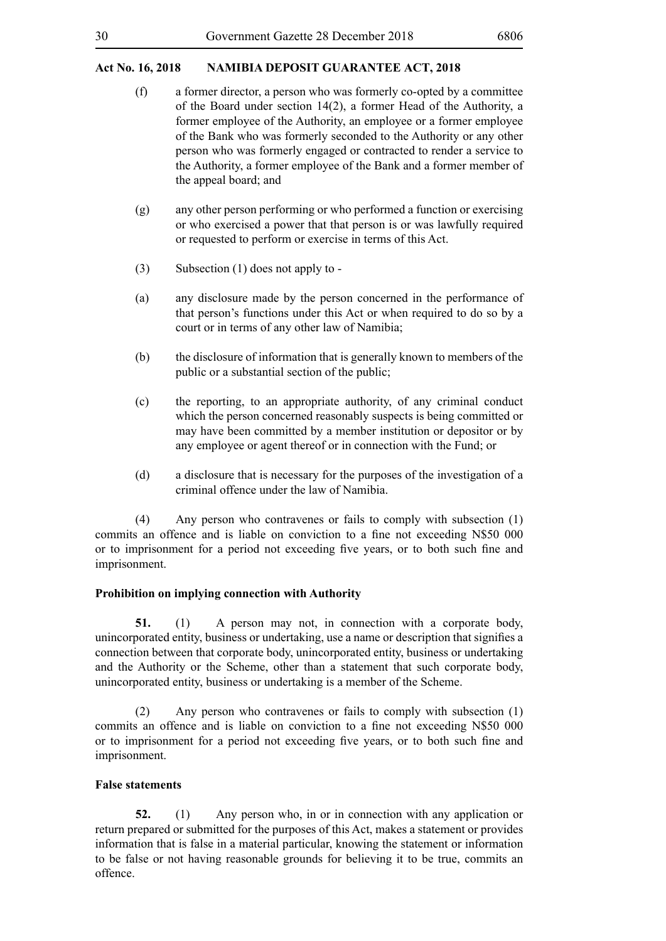- (f) a former director, a person who was formerly co-opted by a committee of the Board under section 14(2), a former Head of the Authority, a former employee of the Authority, an employee or a former employee of the Bank who was formerly seconded to the Authority or any other person who was formerly engaged or contracted to render a service to the Authority, a former employee of the Bank and a former member of the appeal board; and
- (g) any other person performing or who performed a function or exercising or who exercised a power that that person is or was lawfully required or requested to perform or exercise in terms of this Act.
- (3) Subsection (1) does not apply to -
- (a) any disclosure made by the person concerned in the performance of that person's functions under this Act or when required to do so by a court or in terms of any other law of Namibia;
- (b) the disclosure of information that is generally known to members of the public or a substantial section of the public;
- (c) the reporting, to an appropriate authority, of any criminal conduct which the person concerned reasonably suspects is being committed or may have been committed by a member institution or depositor or by any employee or agent thereof or in connection with the Fund; or
- (d) a disclosure that is necessary for the purposes of the investigation of a criminal offence under the law of Namibia.

(4) Any person who contravenes or fails to comply with subsection (1) commits an offence and is liable on conviction to a fine not exceeding N\$50 000 or to imprisonment for a period not exceeding five years, or to both such fine and imprisonment.

## **Prohibition on implying connection with Authority**

**51.** (1) A person may not, in connection with a corporate body, unincorporated entity, business or undertaking, use a name or description that signifies a connection between that corporate body, unincorporated entity, business or undertaking and the Authority or the Scheme, other than a statement that such corporate body, unincorporated entity, business or undertaking is a member of the Scheme.

(2) Any person who contravenes or fails to comply with subsection (1) commits an offence and is liable on conviction to a fine not exceeding N\$50 000 or to imprisonment for a period not exceeding five years, or to both such fine and imprisonment.

## **False statements**

**52.** (1) Any person who, in or in connection with any application or return prepared or submitted for the purposes of this Act, makes a statement or provides information that is false in a material particular, knowing the statement or information to be false or not having reasonable grounds for believing it to be true, commits an offence.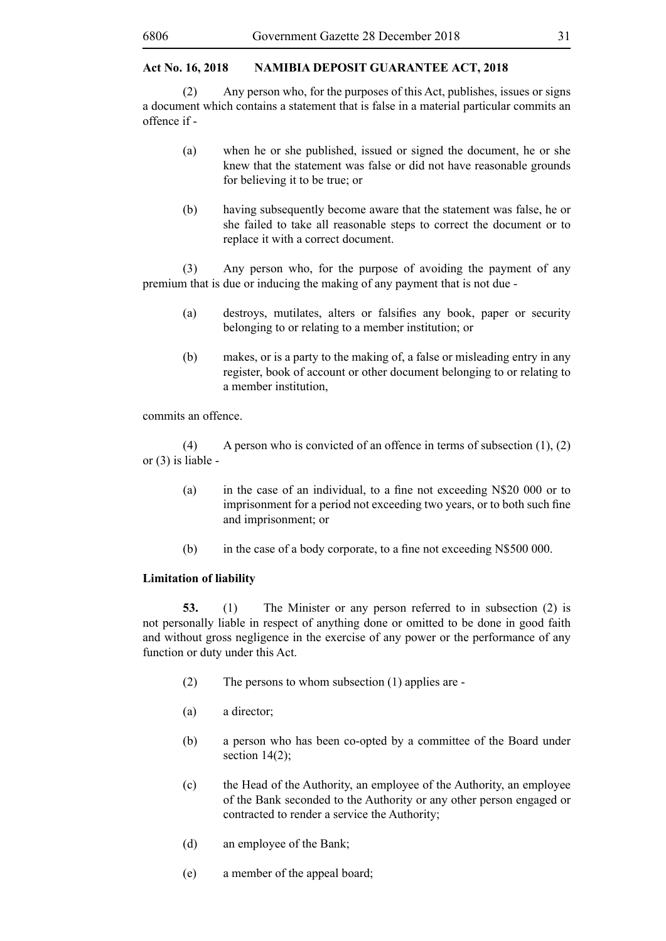(2) Any person who, for the purposes of this Act, publishes, issues or signs a document which contains a statement that is false in a material particular commits an offence if -

- (a) when he or she published, issued or signed the document, he or she knew that the statement was false or did not have reasonable grounds for believing it to be true; or
- (b) having subsequently become aware that the statement was false, he or she failed to take all reasonable steps to correct the document or to replace it with a correct document.

(3) Any person who, for the purpose of avoiding the payment of any premium that is due or inducing the making of any payment that is not due -

- (a) destroys, mutilates, alters or falsifies any book, paper or security belonging to or relating to a member institution; or
- (b) makes, or is a party to the making of, a false or misleading entry in any register, book of account or other document belonging to or relating to a member institution,

commits an offence.

(4) A person who is convicted of an offence in terms of subsection  $(1)$ ,  $(2)$ or (3) is liable -

- (a) in the case of an individual, to a fine not exceeding N\$20 000 or to imprisonment for a period not exceeding two years, or to both such fine and imprisonment; or
- (b) in the case of a body corporate, to a fine not exceeding N\$500 000.

#### **Limitation of liability**

**53.** (1) The Minister or any person referred to in subsection (2) is not personally liable in respect of anything done or omitted to be done in good faith and without gross negligence in the exercise of any power or the performance of any function or duty under this Act.

- (2) The persons to whom subsection (1) applies are -
- (a) a director;
- (b) a person who has been co-opted by a committee of the Board under section 14(2):
- (c) the Head of the Authority, an employee of the Authority, an employee of the Bank seconded to the Authority or any other person engaged or contracted to render a service the Authority;
- (d) an employee of the Bank;
- (e) a member of the appeal board;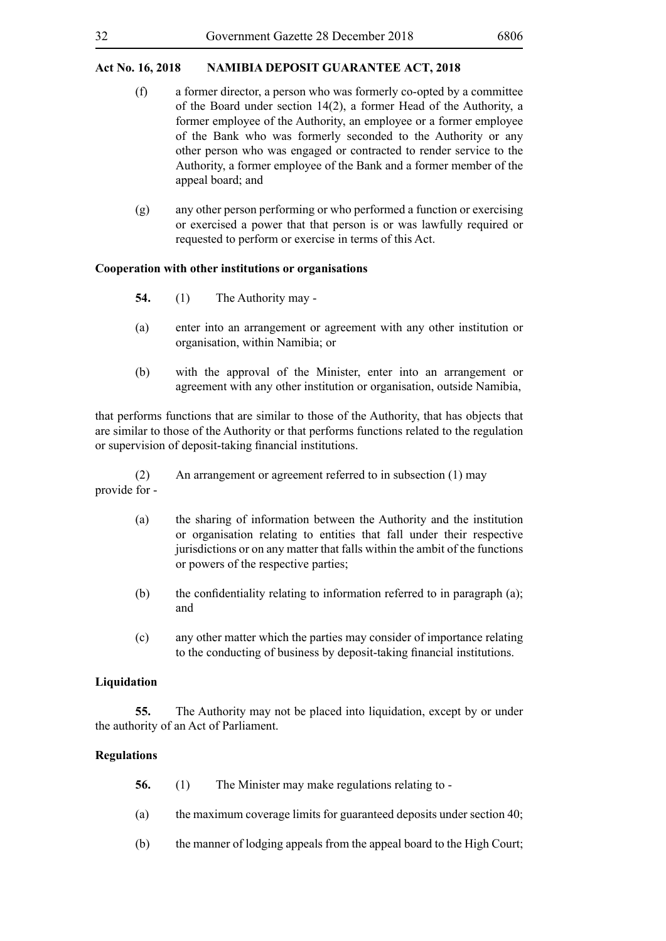- (f) a former director, a person who was formerly co-opted by a committee of the Board under section 14(2), a former Head of the Authority, a former employee of the Authority, an employee or a former employee of the Bank who was formerly seconded to the Authority or any other person who was engaged or contracted to render service to the Authority, a former employee of the Bank and a former member of the appeal board; and
- (g) any other person performing or who performed a function or exercising or exercised a power that that person is or was lawfully required or requested to perform or exercise in terms of this Act.

#### **Cooperation with other institutions or organisations**

- **54.** (1) The Authority may -
- (a) enter into an arrangement or agreement with any other institution or organisation, within Namibia; or
- (b) with the approval of the Minister, enter into an arrangement or agreement with any other institution or organisation, outside Namibia,

that performs functions that are similar to those of the Authority, that has objects that are similar to those of the Authority or that performs functions related to the regulation or supervision of deposit-taking financial institutions.

(2) An arrangement or agreement referred to in subsection (1) may provide for -

- (a) the sharing of information between the Authority and the institution or organisation relating to entities that fall under their respective jurisdictions or on any matter that falls within the ambit of the functions or powers of the respective parties;
- (b) the confidentiality relating to information referred to in paragraph (a); and
- (c) any other matter which the parties may consider of importance relating to the conducting of business by deposit-taking financial institutions.

#### **Liquidation**

**55.** The Authority may not be placed into liquidation, except by or under the authority of an Act of Parliament.

## **Regulations**

- **56.** (1) The Minister may make regulations relating to -
- (a) the maximum coverage limits for guaranteed deposits under section 40;
- (b) the manner of lodging appeals from the appeal board to the High Court;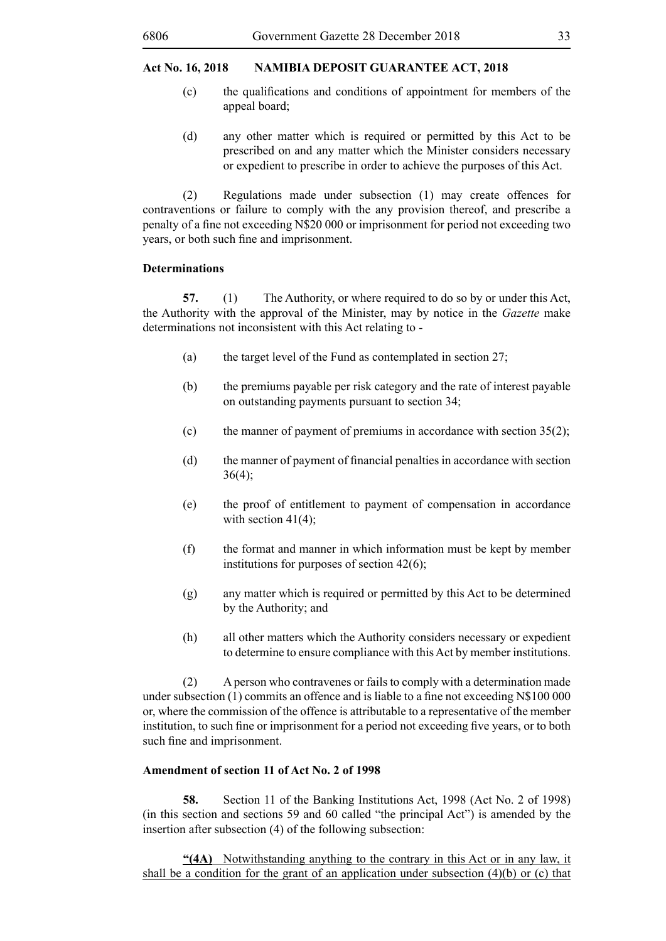- (c) the qualifications and conditions of appointment for members of the appeal board;
- (d) any other matter which is required or permitted by this Act to be prescribed on and any matter which the Minister considers necessary or expedient to prescribe in order to achieve the purposes of this Act.

(2) Regulations made under subsection (1) may create offences for contraventions or failure to comply with the any provision thereof, and prescribe a penalty of a fine not exceeding N\$20 000 or imprisonment for period not exceeding two years, or both such fine and imprisonment.

## **Determinations**

**57.** (1) The Authority, or where required to do so by or under this Act, the Authority with the approval of the Minister, may by notice in the *Gazette* make determinations not inconsistent with this Act relating to -

- (a) the target level of the Fund as contemplated in section 27;
- (b) the premiums payable per risk category and the rate of interest payable on outstanding payments pursuant to section 34;
- (c) the manner of payment of premiums in accordance with section  $35(2)$ ;
- (d) the manner of payment of financial penalties in accordance with section  $36(4)$ ;
- (e) the proof of entitlement to payment of compensation in accordance with section  $41(4)$ ;
- (f) the format and manner in which information must be kept by member institutions for purposes of section 42(6);
- (g) any matter which is required or permitted by this Act to be determined by the Authority; and
- (h) all other matters which the Authority considers necessary or expedient to determine to ensure compliance with this Act by member institutions.

(2) A person who contravenes or fails to comply with a determination made under subsection (1) commits an offence and is liable to a fine not exceeding N\$100 000 or, where the commission of the offence is attributable to a representative of the member institution, to such fine or imprisonment for a period not exceeding five years, or to both such fine and imprisonment.

## **Amendment of section 11 of Act No. 2 of 1998**

**58.** Section 11 of the Banking Institutions Act, 1998 (Act No. 2 of 1998) (in this section and sections 59 and 60 called "the principal Act") is amended by the insertion after subsection (4) of the following subsection:

**"(4A)** Notwithstanding anything to the contrary in this Act or in any law, it shall be a condition for the grant of an application under subsection  $(4)(b)$  or (c) that